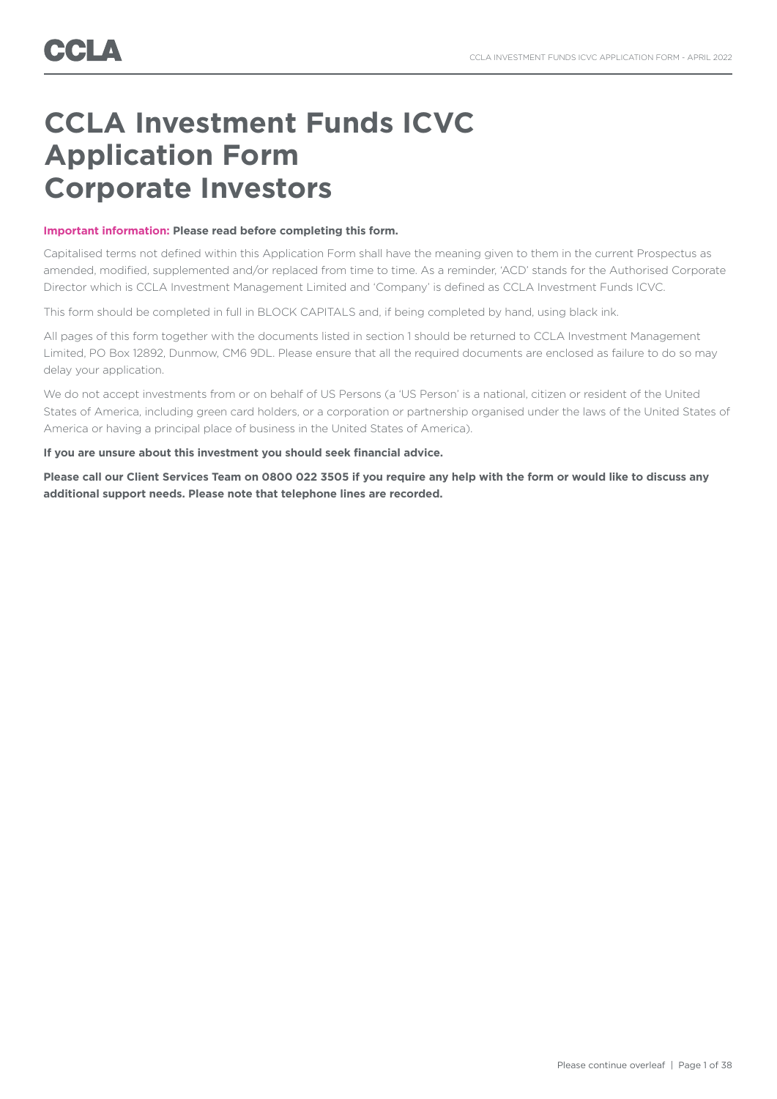## **CCLA Investment Funds ICVC Application Form Corporate Investors**

### **Important information: Please read before completing this form.**

Capitalised terms not defined within this Application Form shall have the meaning given to them in the current Prospectus as amended, modified, supplemented and/or replaced from time to time. As a reminder, 'ACD' stands for the Authorised Corporate Director which is CCLA Investment Management Limited and 'Company' is defined as CCLA Investment Funds ICVC.

This form should be completed in full in BLOCK CAPITALS and, if being completed by hand, using black ink.

All pages of this form together with the documents listed in section 1 should be returned to CCLA Investment Management Limited, PO Box 12892, Dunmow, CM6 9DL. Please ensure that all the required documents are enclosed as failure to do so may delay your application.

We do not accept investments from or on behalf of US Persons (a 'US Person' is a national, citizen or resident of the United States of America, including green card holders, or a corporation or partnership organised under the laws of the United States of America or having a principal place of business in the United States of America).

### **If you are unsure about this investment you should seek financial advice.**

**Please call our Client Services Team on 0800 022 3505 if you require any help with the form or would like to discuss any additional support needs. Please note that telephone lines are recorded.**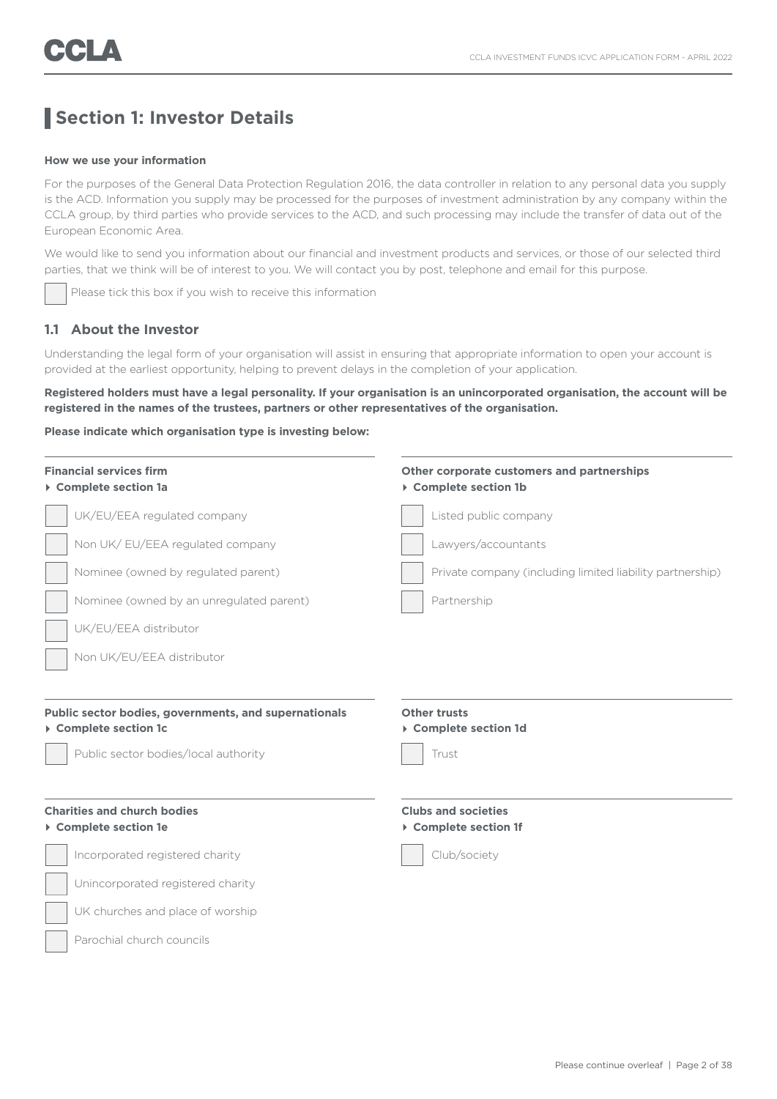## **Section 1: Investor Details**

### **How we use your information**

For the purposes of the General Data Protection Regulation 2016, the data controller in relation to any personal data you supply is the ACD. Information you supply may be processed for the purposes of investment administration by any company within the CCLA group, by third parties who provide services to the ACD, and such processing may include the transfer of data out of the European Economic Area.

We would like to send you information about our financial and investment products and services, or those of our selected third parties, that we think will be of interest to you. We will contact you by post, telephone and email for this purpose.

Please tick this box if you wish to receive this information

### **1.1 About the Investor**

Understanding the legal form of your organisation will assist in ensuring that appropriate information to open your account is provided at the earliest opportunity, helping to prevent delays in the completion of your application.

**Registered holders must have a legal personality. If your organisation is an unincorporated organisation, the account will be registered in the names of the trustees, partners or other representatives of the organisation.**

#### **Please indicate which organisation type is investing below:**

| <b>Financial services firm</b><br>▶ Complete section 1a                                                                | Other corporate customers and partnerships<br>▶ Complete section 1b |  |
|------------------------------------------------------------------------------------------------------------------------|---------------------------------------------------------------------|--|
| UK/EU/EEA regulated company                                                                                            | Listed public company                                               |  |
| Non UK/EU/EEA regulated company                                                                                        | Lawyers/accountants                                                 |  |
| Nominee (owned by regulated parent)                                                                                    | Private company (including limited liability partnership)           |  |
| Nominee (owned by an unregulated parent)                                                                               | Partnership                                                         |  |
| UK/EU/EEA distributor                                                                                                  |                                                                     |  |
| Non UK/EU/EEA distributor                                                                                              |                                                                     |  |
| Public sector bodies, governments, and supernationals<br>▶ Complete section 1c<br>Public sector bodies/local authority | <b>Other trusts</b><br>▶ Complete section 1d<br>Trust               |  |
| <b>Charities and church bodies</b><br>▶ Complete section 1e                                                            | <b>Clubs and societies</b><br>▶ Complete section 1f                 |  |
| Incorporated registered charity                                                                                        | Club/society                                                        |  |
| Unincorporated registered charity                                                                                      |                                                                     |  |
| UK churches and place of worship                                                                                       |                                                                     |  |
| Parochial church councils                                                                                              |                                                                     |  |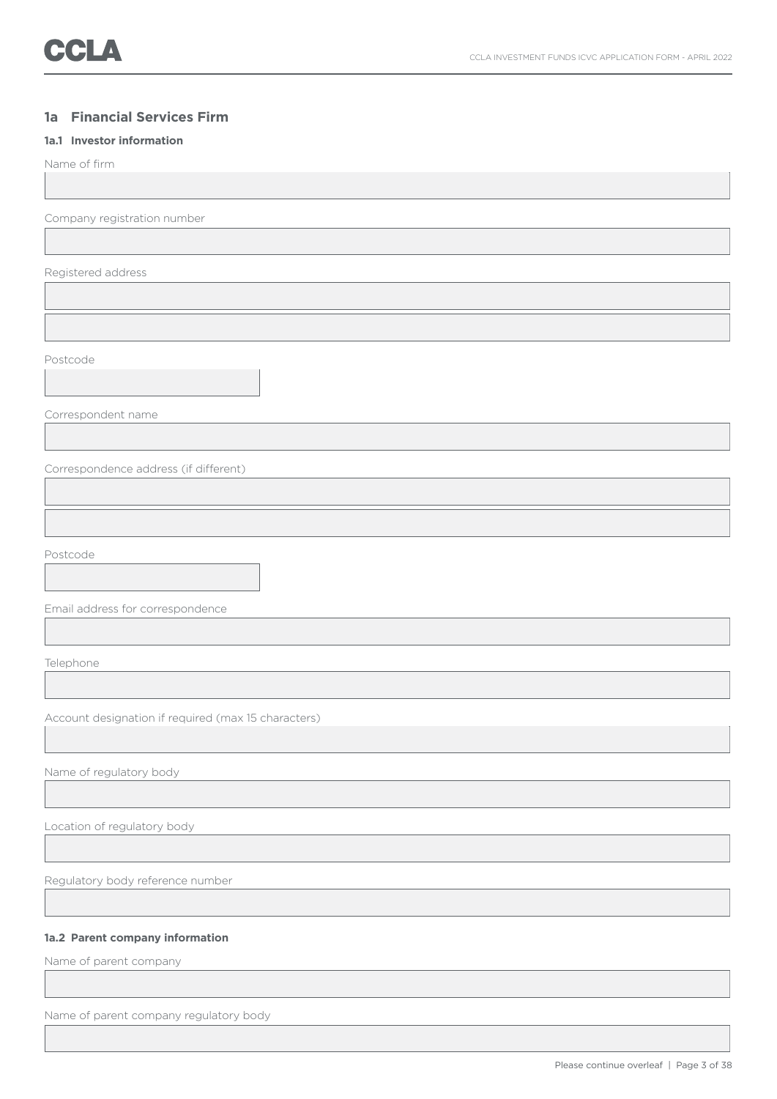### **1a Financial Services Firm**

### **1a.1 Investor information**

Name of firm

Company registration number

Registered address

Postcode

Correspondent name

Correspondence address (if different)

Postcode

Email address for correspondence

Telephone

Account designation if required (max 15 characters)

Name of regulatory body

Location of regulatory body

Regulatory body reference number

### **1a.2 Parent company information**

Name of parent company

Name of parent company regulatory body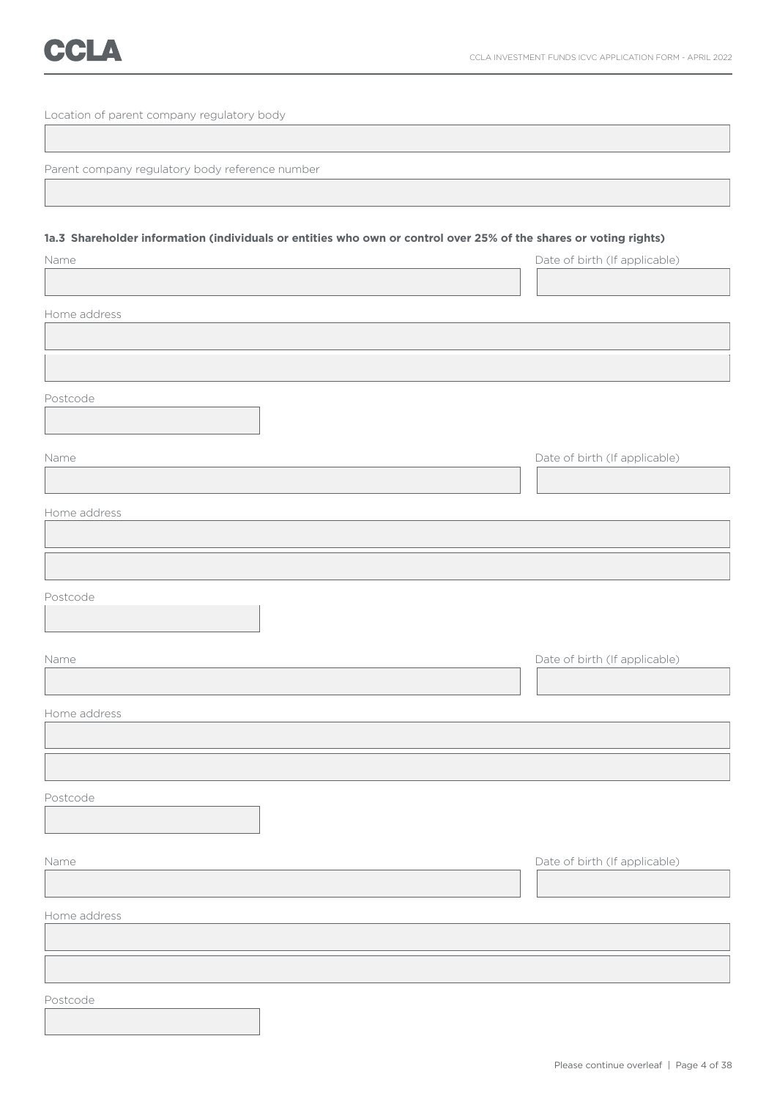Location of parent company regulatory body

Parent company regulatory body reference number

### **1a.3 Shareholder information (individuals or entities who own or control over 25% of the shares or voting rights)**

| Name         | Date of birth (If applicable) |
|--------------|-------------------------------|
|              |                               |
| Home address |                               |
|              |                               |
|              |                               |
| Postcode     |                               |
| Name         | Date of birth (If applicable) |
| Home address |                               |
|              |                               |
| Postcode     |                               |
| Name         | Date of birth (If applicable) |
| Home address |                               |
|              |                               |
| Postcode     |                               |
| Name         | Date of birth (If applicable) |
| Home address |                               |
|              |                               |
| Postcode     |                               |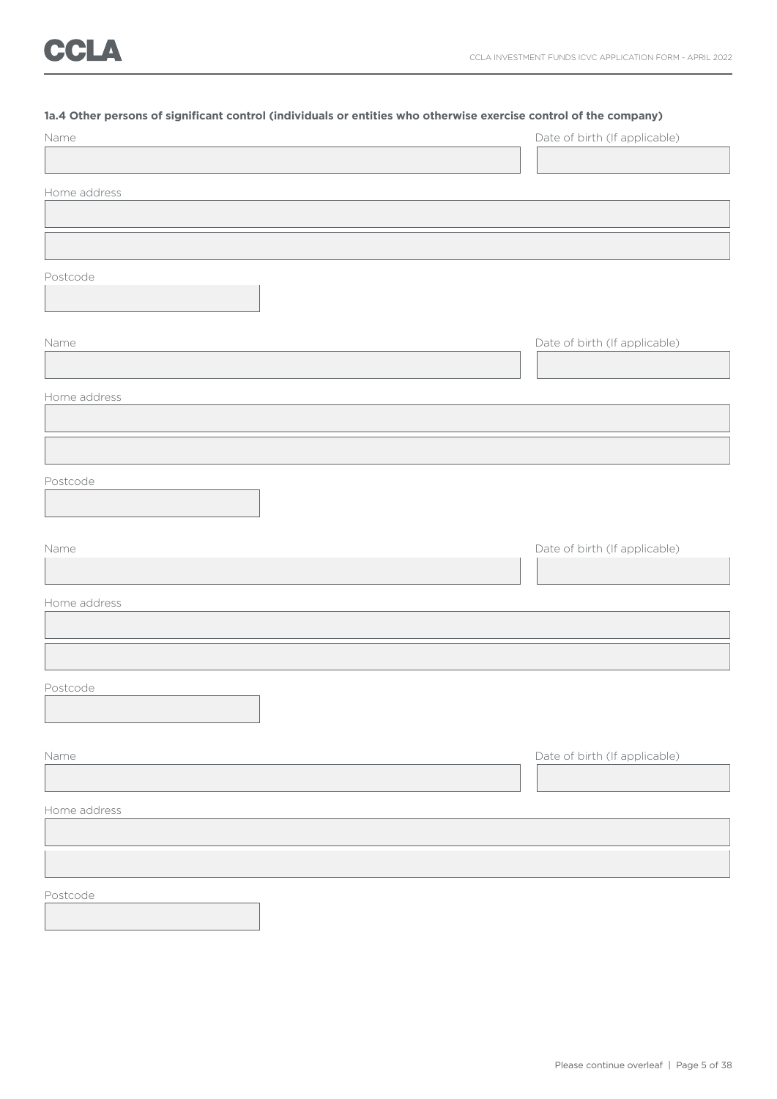### **1a.4 Other persons of significant control (individuals or entities who otherwise exercise control of the company)**

| Name         | Date of birth (If applicable) |
|--------------|-------------------------------|
|              |                               |
| Home address |                               |
|              |                               |
|              |                               |
| Postcode     |                               |
|              |                               |
| Name         | Date of birth (If applicable) |
|              |                               |
| Home address |                               |
|              |                               |
|              |                               |
| Postcode     |                               |
|              |                               |
| Name         | Date of birth (If applicable) |
|              |                               |
| Home address |                               |
|              |                               |
|              |                               |
| Postcode     |                               |
|              |                               |
|              |                               |
| Name         | Date of birth (If applicable) |
| Home address |                               |
|              |                               |
|              |                               |
| Postcode     |                               |
|              |                               |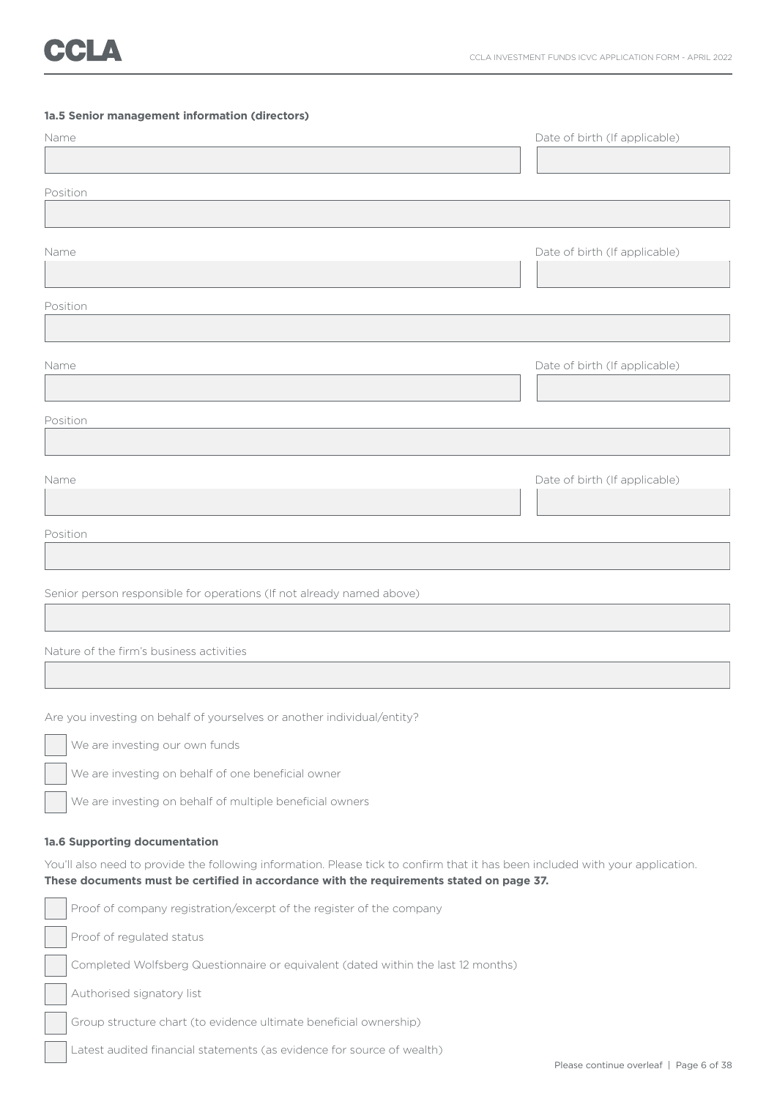### **1a.5 Senior management information (directors)**

| Name                                                                  | Date of birth (If applicable) |
|-----------------------------------------------------------------------|-------------------------------|
|                                                                       |                               |
| Position                                                              |                               |
|                                                                       |                               |
|                                                                       |                               |
| Name                                                                  | Date of birth (If applicable) |
|                                                                       |                               |
| Position                                                              |                               |
|                                                                       |                               |
| Name                                                                  | Date of birth (If applicable) |
|                                                                       |                               |
|                                                                       |                               |
| Position                                                              |                               |
|                                                                       |                               |
| Name                                                                  | Date of birth (If applicable) |
|                                                                       |                               |
|                                                                       |                               |
| Position                                                              |                               |
|                                                                       |                               |
| Senior person responsible for operations (If not already named above) |                               |
|                                                                       |                               |
|                                                                       |                               |

### Nature of the firm's business activities

Are you investing on behalf of yourselves or another individual/entity?

We are investing our own funds

We are investing on behalf of one beneficial owner

We are investing on behalf of multiple beneficial owners

### **1a.6 Supporting documentation**

You'll also need to provide the following information. Please tick to confirm that it has been included with your application. **These documents must be certified in accordance with the requirements stated on page 37.**

|  | Proof of company registration/excerpt of the register of the company              |  |
|--|-----------------------------------------------------------------------------------|--|
|  | Proof of regulated status                                                         |  |
|  | Completed Wolfsberg Questionnaire or equivalent (dated within the last 12 months) |  |
|  | Authorised signatory list                                                         |  |
|  | Group structure chart (to evidence ultimate beneficial ownership)                 |  |
|  | Latest audited financial statements (as evidence for source of wealth)            |  |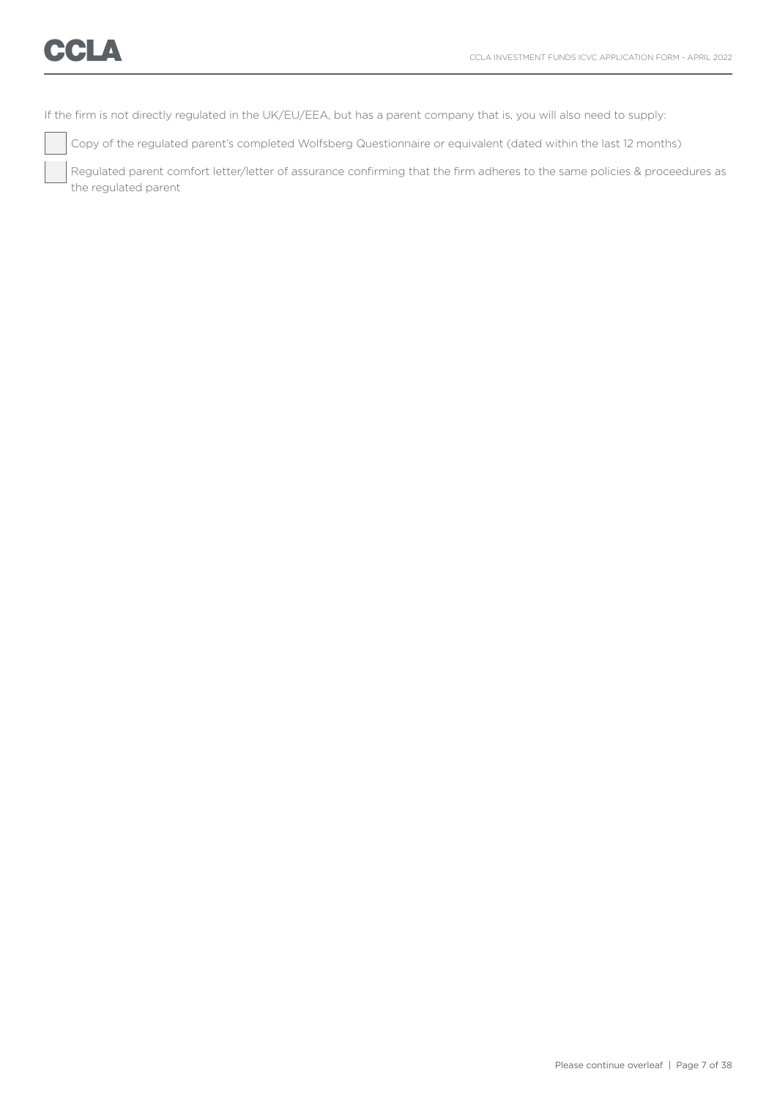If the firm is not directly regulated in the UK/EU/EEA, but has a parent company that is, you will also need to supply:

Copy of the regulated parent's completed Wolfsberg Questionnaire or equivalent (dated within the last 12 months)

 Regulated parent comfort letter/letter of assurance confirming that the firm adheres to the same policies & proceedures as the regulated parent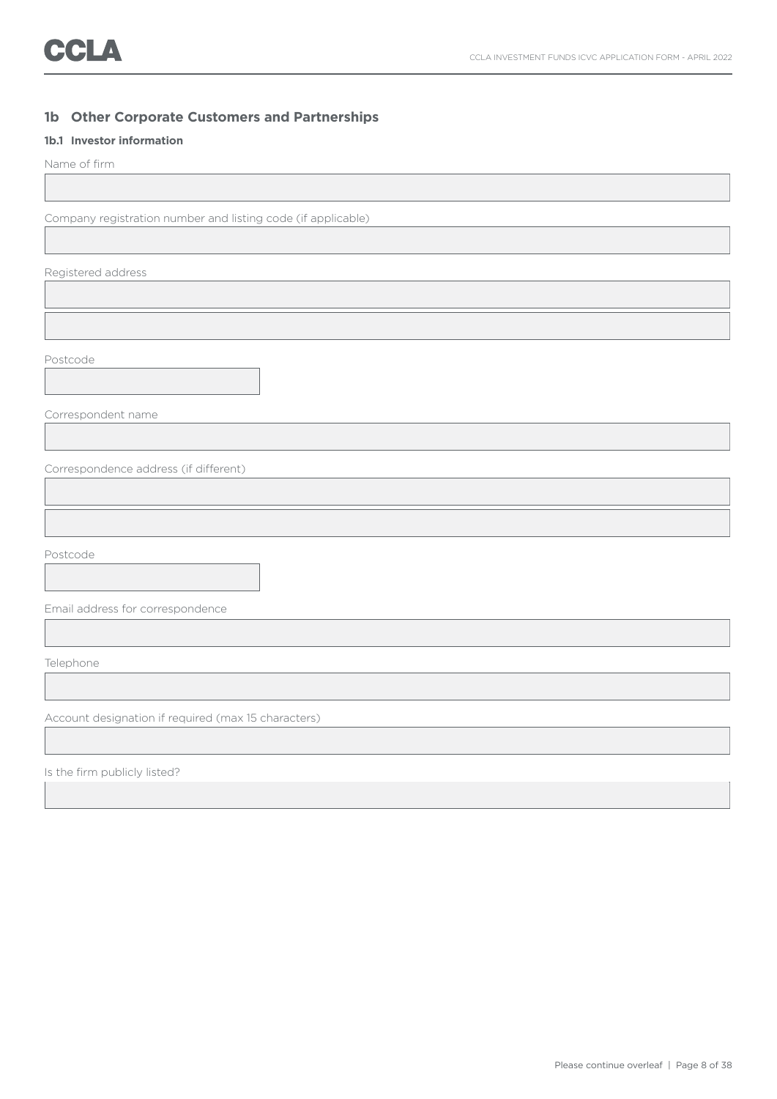### **1b Other Corporate Customers and Partnerships**

### **1b.1 Investor information**

Name of firm

Company registration number and listing code (if applicable)

Registered address

Postcode

Correspondent name

Correspondence address (if different)

Postcode

Email address for correspondence

Telephone

Account designation if required (max 15 characters)

Is the firm publicly listed?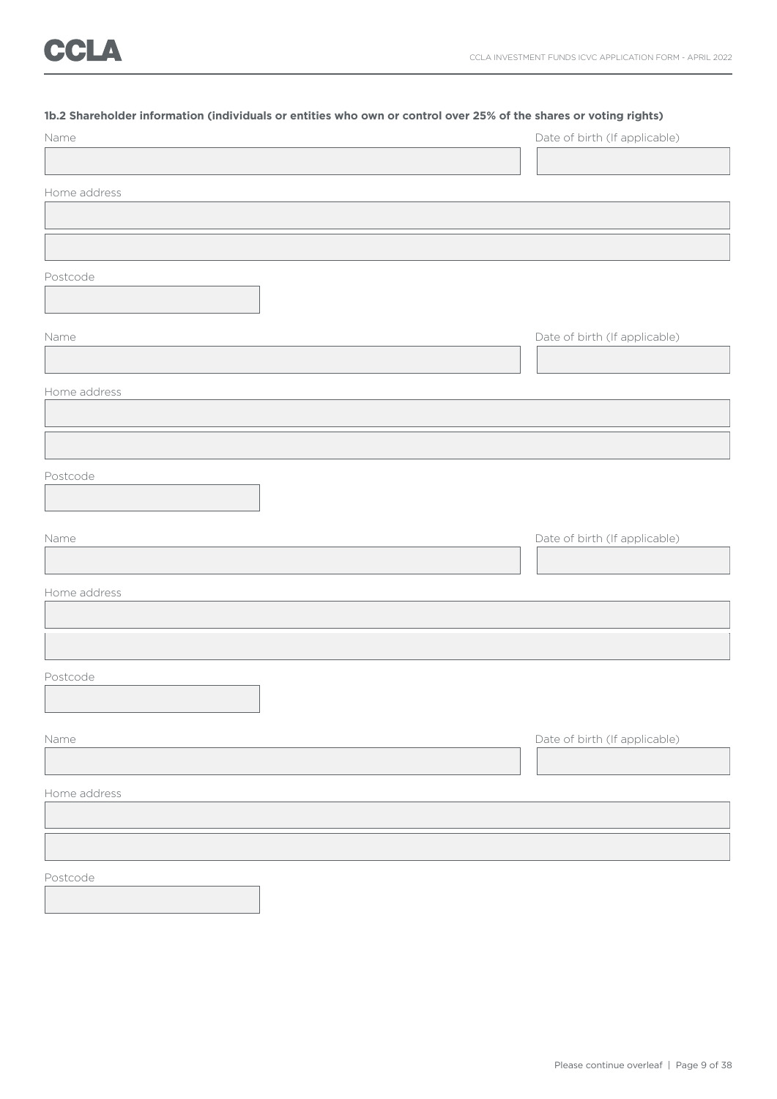### **1b.2 Shareholder information (individuals or entities who own or control over 25% of the shares or voting rights)**

| Name         | Date of birth (If applicable) |
|--------------|-------------------------------|
|              |                               |
| Home address |                               |
|              |                               |
|              |                               |
| Postcode     |                               |
|              |                               |
| Name         | Date of birth (If applicable) |
|              |                               |
| Home address |                               |
|              |                               |
|              |                               |
| Postcode     |                               |
|              |                               |
| Name         | Date of birth (If applicable) |
|              |                               |
| Home address |                               |
|              |                               |
|              |                               |
| Postcode     |                               |
|              |                               |
|              |                               |
| Name         | Date of birth (If applicable) |
|              |                               |
| Home address |                               |
|              |                               |
|              |                               |
| Postcode     |                               |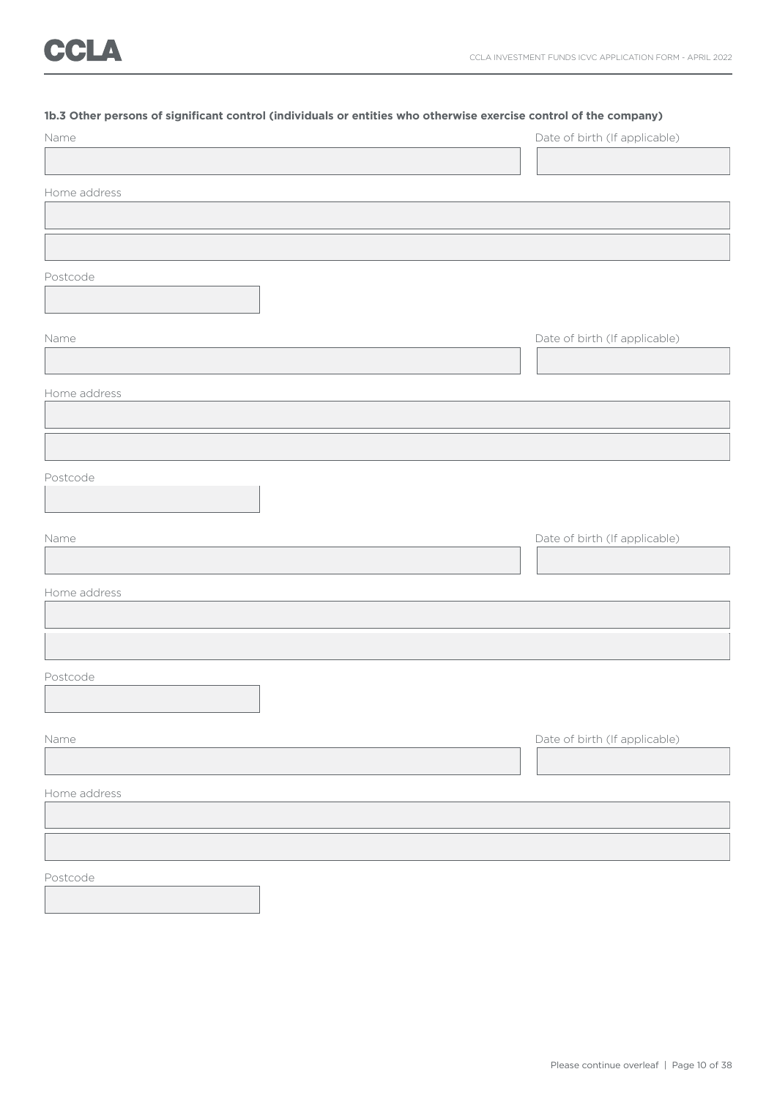### **1b.3 Other persons of significant control (individuals or entities who otherwise exercise control of the company)**

| Name         | Date of birth (If applicable) |
|--------------|-------------------------------|
|              |                               |
| Home address |                               |
|              |                               |
|              |                               |
| Postcode     |                               |
|              |                               |
| Name         | Date of birth (If applicable) |
|              |                               |
| Home address |                               |
|              |                               |
|              |                               |
| Postcode     |                               |
|              |                               |
| Name         | Date of birth (If applicable) |
|              |                               |
| Home address |                               |
|              |                               |
|              |                               |
| Postcode     |                               |
|              |                               |
| Name         | Date of birth (If applicable) |
|              |                               |
| Home address |                               |
|              |                               |
|              |                               |
| Postcode     |                               |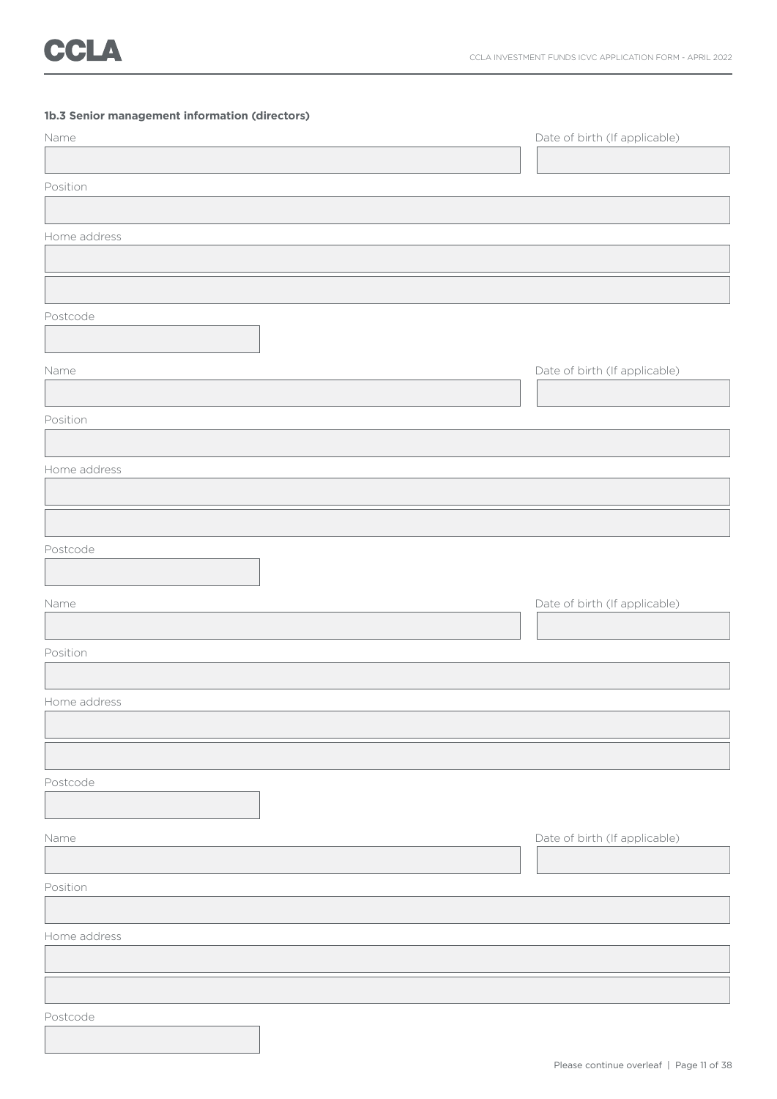### **1b.3 Senior management information (directors)**

| Name         | Date of birth (If applicable) |
|--------------|-------------------------------|
|              |                               |
| Position     |                               |
|              |                               |
| Home address |                               |
|              |                               |
|              |                               |
| Postcode     |                               |
|              |                               |
| Name         | Date of birth (If applicable) |
|              |                               |
| Position     |                               |
|              |                               |
| Home address |                               |
|              |                               |
|              |                               |
| Postcode     |                               |
|              |                               |
| Name         | Date of birth (If applicable) |
|              |                               |
| Position     |                               |
|              |                               |
| Home address |                               |
|              |                               |
|              |                               |
| Postcode     |                               |
|              |                               |
| Name         | Date of birth (If applicable) |
|              |                               |
| Position     |                               |
|              |                               |
| Home address |                               |
|              |                               |
|              |                               |
| Postcode     |                               |
|              |                               |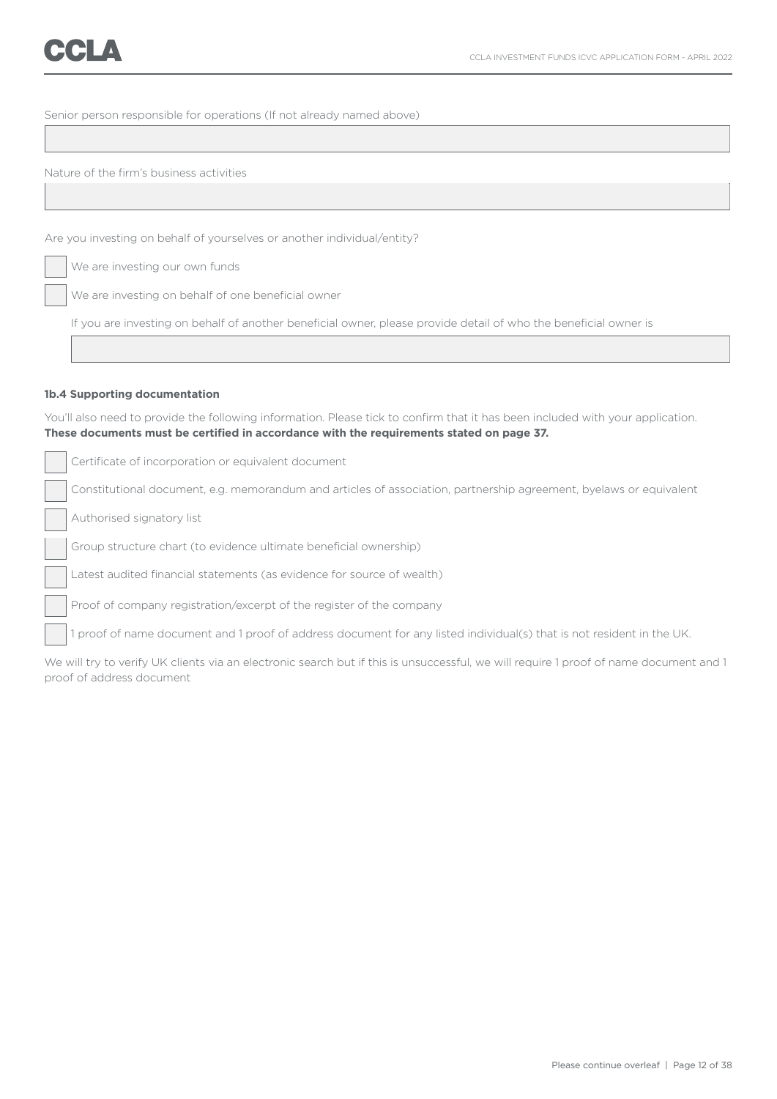Senior person responsible for operations (If not already named above)

Nature of the firm's business activities

Are you investing on behalf of yourselves or another individual/entity?

We are investing our own funds

We are investing on behalf of one beneficial owner

If you are investing on behalf of another beneficial owner, please provide detail of who the beneficial owner is

### **1b.4 Supporting documentation**

You'll also need to provide the following information. Please tick to confirm that it has been included with your application. **These documents must be certified in accordance with the requirements stated on page 37.**

Certificate of incorporation or equivalent document Constitutional document, e.g. memorandum and articles of association, partnership agreement, byelaws or equivalent Authorised signatory list Group structure chart (to evidence ultimate beneficial ownership) Latest audited financial statements (as evidence for source of wealth) Proof of company registration/excerpt of the register of the company 1 proof of name document and 1 proof of address document for any listed individual(s) that is not resident in the UK.

We will try to verify UK clients via an electronic search but if this is unsuccessful, we will require 1 proof of name document and 1 proof of address document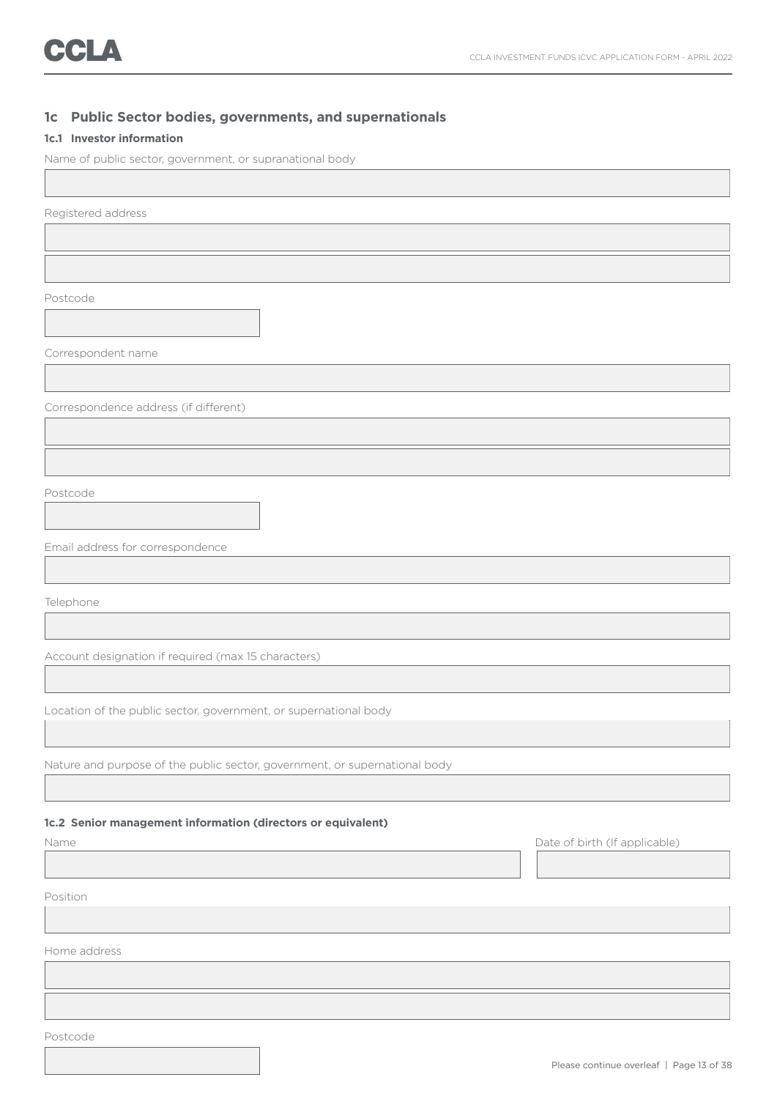### **1c Public Sector bodies, governments, and supernationals**

### **1c.1 Investor information**

Name of public sector, government, or supranational body

Registered address

Postcode

Correspondent name

Correspondence address (if different)

Postcode

Email address for correspondence

Telephone

Account designation if required (max 15 characters)

Location of the public sector, government, or supernational body

Nature and purpose of the public sector, government, or supernational body

### **1c.2 Senior management information (directors or equivalent)**

| Name         | Date of birth (If applicable) |
|--------------|-------------------------------|
|              |                               |
| Position     |                               |
|              |                               |
| Home address |                               |

Postcode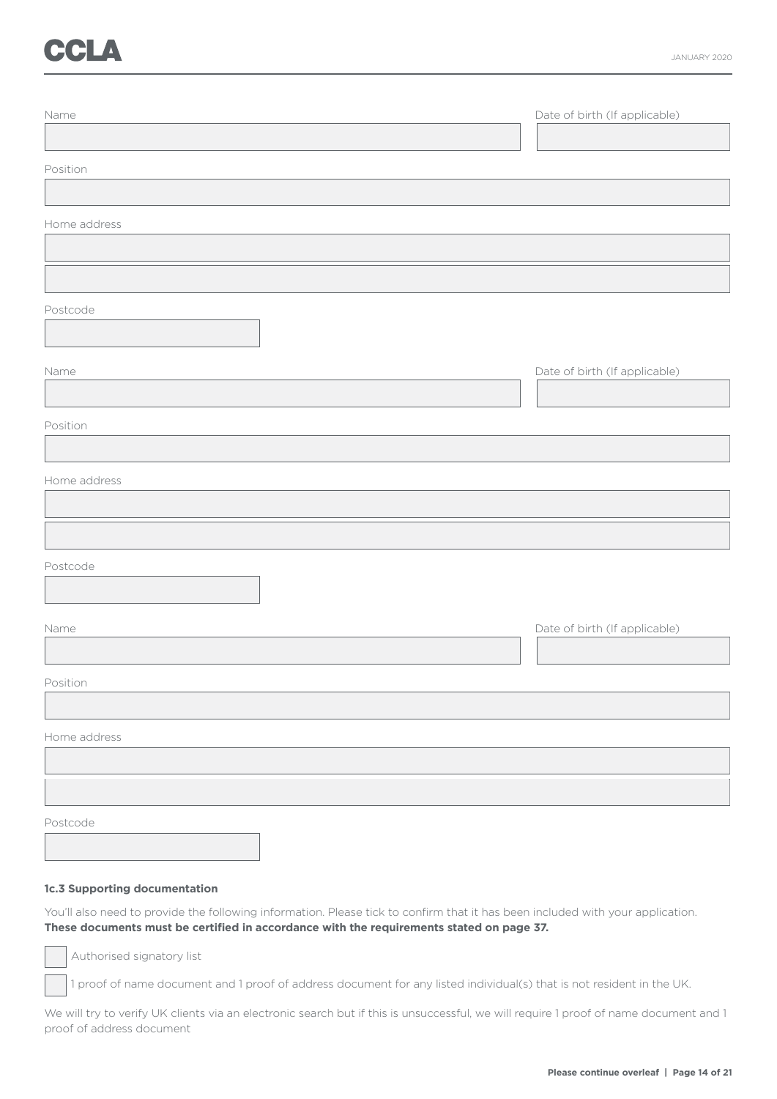# CCLA

| Name         | Date of birth (If applicable) |
|--------------|-------------------------------|
| Position     |                               |
|              |                               |
| Home address |                               |
|              |                               |
| Postcode     |                               |
| Name         | Date of birth (If applicable) |
| Position     |                               |
| Home address |                               |
|              |                               |
| Postcode     |                               |
| Name         | Date of birth (If applicable) |
| Position     |                               |
| Home address |                               |
|              |                               |
| Postcode     |                               |

### **1c.3 Supporting documentation**

You'll also need to provide the following information. Please tick to confirm that it has been included with your application. **These documents must be certified in accordance with the requirements stated on page 37.**

Authorised signatory list

1 proof of name document and 1 proof of address document for any listed individual(s) that is not resident in the UK.

We will try to verify UK clients via an electronic search but if this is unsuccessful, we will require 1 proof of name document and 1 proof of address document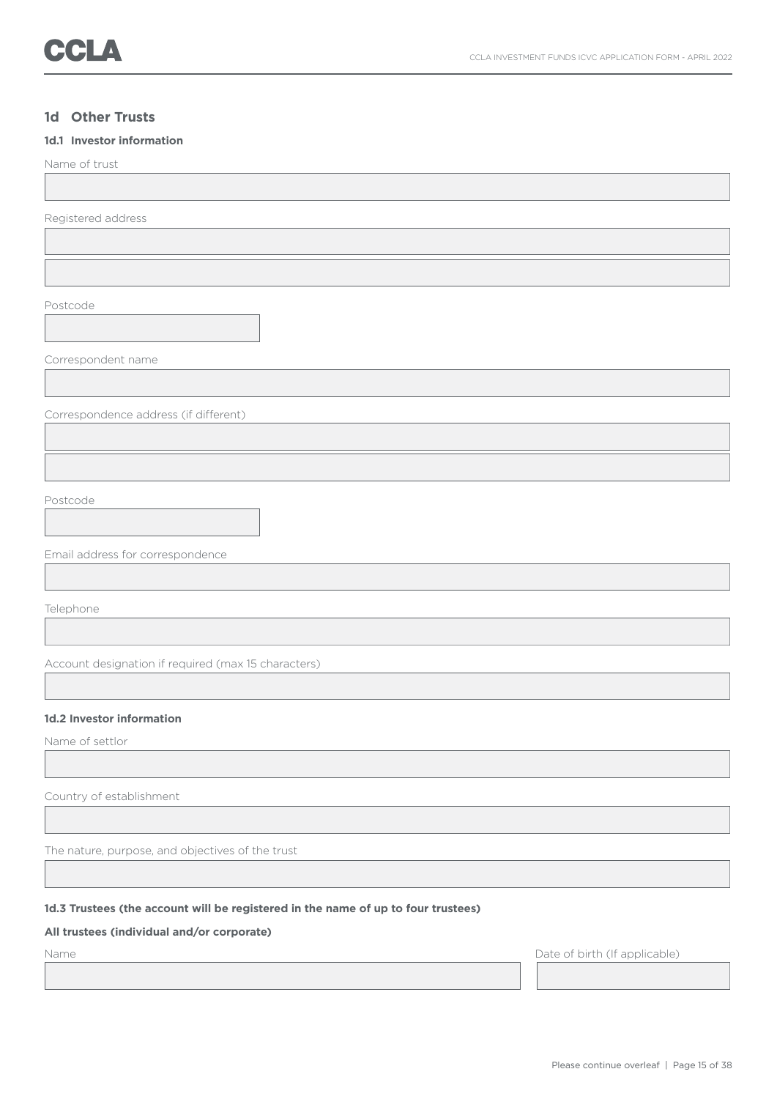### **1d Other Trusts**

### **1d.1 Investor information**

Name of trust

Registered address

Postcode

Correspondent name

Correspondence address (if different)

Postcode

Email address for correspondence

Telephone

Account designation if required (max 15 characters)

### **1d.2 Investor information**

Name of settlor

Country of establishment

The nature, purpose, and objectives of the trust

### **1d.3 Trustees (the account will be registered in the name of up to four trustees)**

### **All trustees (individual and/or corporate)**

Name Date of birth (If applicable)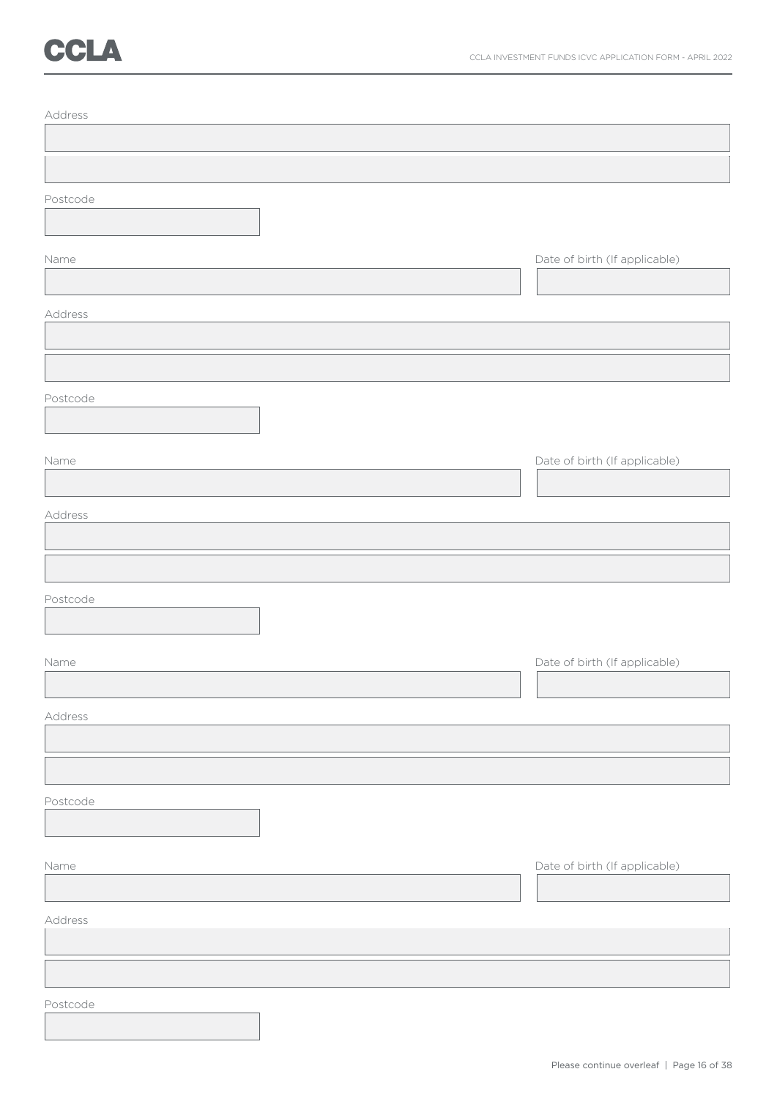# CCLA

| Address  |                               |
|----------|-------------------------------|
|          |                               |
|          |                               |
| Postcode |                               |
|          |                               |
| Name     | Date of birth (If applicable) |
|          |                               |
| Address  |                               |
|          |                               |
|          |                               |
| Postcode |                               |
|          |                               |
| Name     | Date of birth (If applicable) |
|          |                               |
| Address  |                               |
|          |                               |
|          |                               |
| Postcode |                               |
|          |                               |
| Name     | Date of birth (If applicable) |
|          |                               |
| Address  |                               |
|          |                               |
|          |                               |
| Postcode |                               |
|          |                               |
|          |                               |
| Name     | Date of birth (If applicable) |
|          |                               |
| Address  |                               |
|          |                               |
|          |                               |
| Postcode |                               |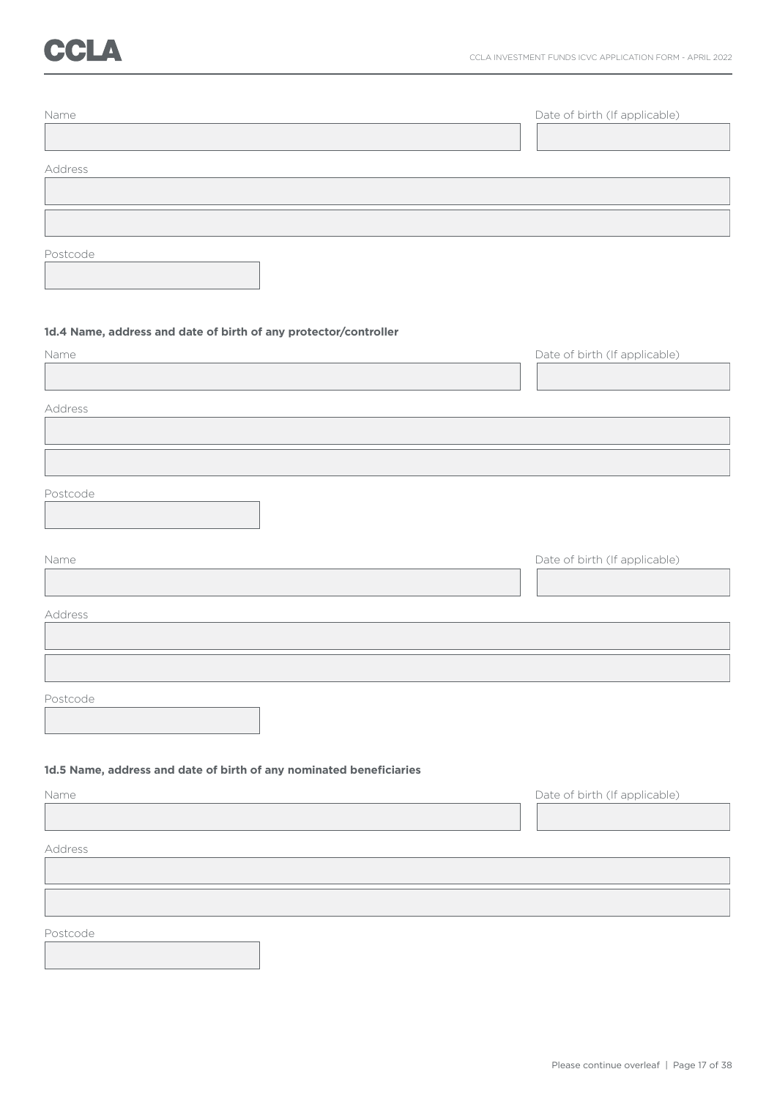## CCLA

| Name                                                                | Date of birth (If applicable) |
|---------------------------------------------------------------------|-------------------------------|
|                                                                     |                               |
|                                                                     |                               |
| Address                                                             |                               |
|                                                                     |                               |
|                                                                     |                               |
| Postcode                                                            |                               |
|                                                                     |                               |
|                                                                     |                               |
| 1d.4 Name, address and date of birth of any protector/controller    |                               |
| Name                                                                | Date of birth (If applicable) |
|                                                                     |                               |
| Address                                                             |                               |
|                                                                     |                               |
|                                                                     |                               |
|                                                                     |                               |
| Postcode                                                            |                               |
|                                                                     |                               |
| Name                                                                | Date of birth (If applicable) |
|                                                                     |                               |
| Address                                                             |                               |
|                                                                     |                               |
|                                                                     |                               |
|                                                                     |                               |
| Postcode                                                            |                               |
|                                                                     |                               |
| 1d.5 Name, address and date of birth of any nominated beneficiaries |                               |
|                                                                     |                               |
| Name                                                                | Date of birth (If applicable) |
|                                                                     |                               |
| Address                                                             |                               |
|                                                                     |                               |
|                                                                     |                               |
| Postcode                                                            |                               |
|                                                                     |                               |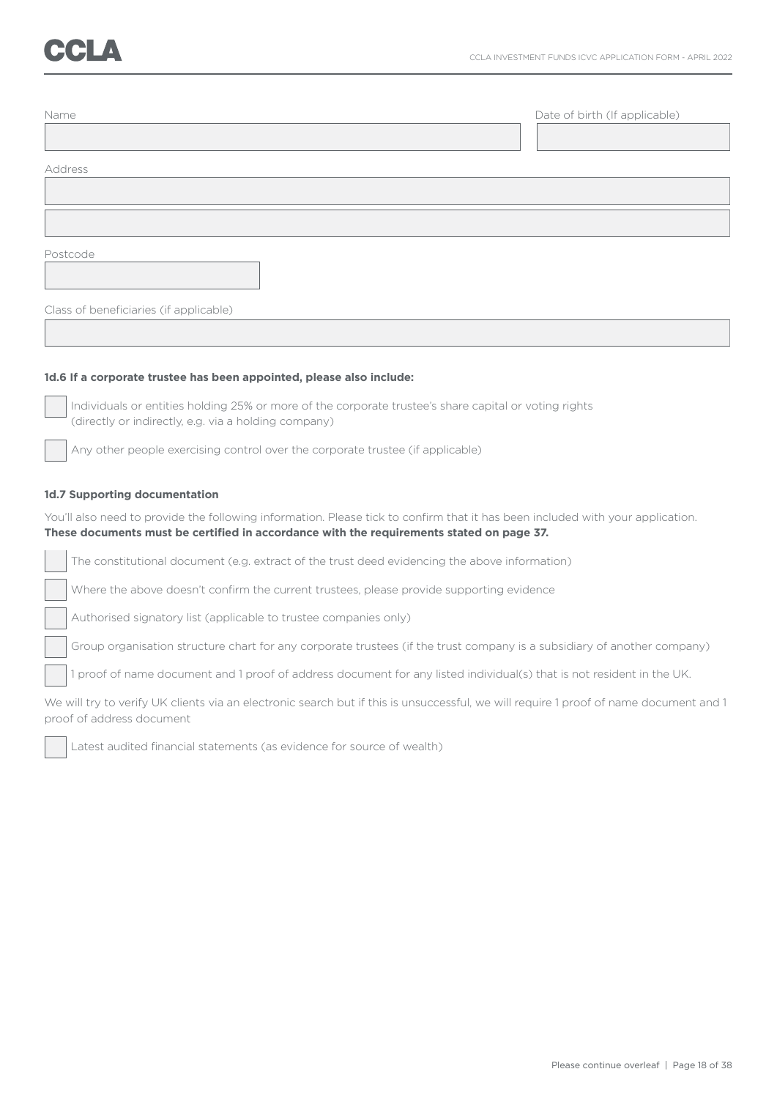| Name                                   | Date of birth (If applicable) |
|----------------------------------------|-------------------------------|
|                                        |                               |
| Address                                |                               |
|                                        |                               |
|                                        |                               |
| Postcode                               |                               |
|                                        |                               |
| Class of beneficiaries (if applicable) |                               |

### **1d.6 If a corporate trustee has been appointed, please also include:**

 Individuals or entities holding 25% or more of the corporate trustee's share capital or voting rights (directly or indirectly, e.g. via a holding company)

Any other people exercising control over the corporate trustee (if applicable)

### **1d.7 Supporting documentation**

You'll also need to provide the following information. Please tick to confirm that it has been included with your application. **These documents must be certified in accordance with the requirements stated on page 37.**

The constitutional document (e.g. extract of the trust deed evidencing the above information)

Where the above doesn't confirm the current trustees, please provide supporting evidence

Authorised signatory list (applicable to trustee companies only)

Group organisation structure chart for any corporate trustees (if the trust company is a subsidiary of another company)

1 proof of name document and 1 proof of address document for any listed individual(s) that is not resident in the UK.

We will try to verify UK clients via an electronic search but if this is unsuccessful, we will require 1 proof of name document and 1 proof of address document



Latest audited financial statements (as evidence for source of wealth)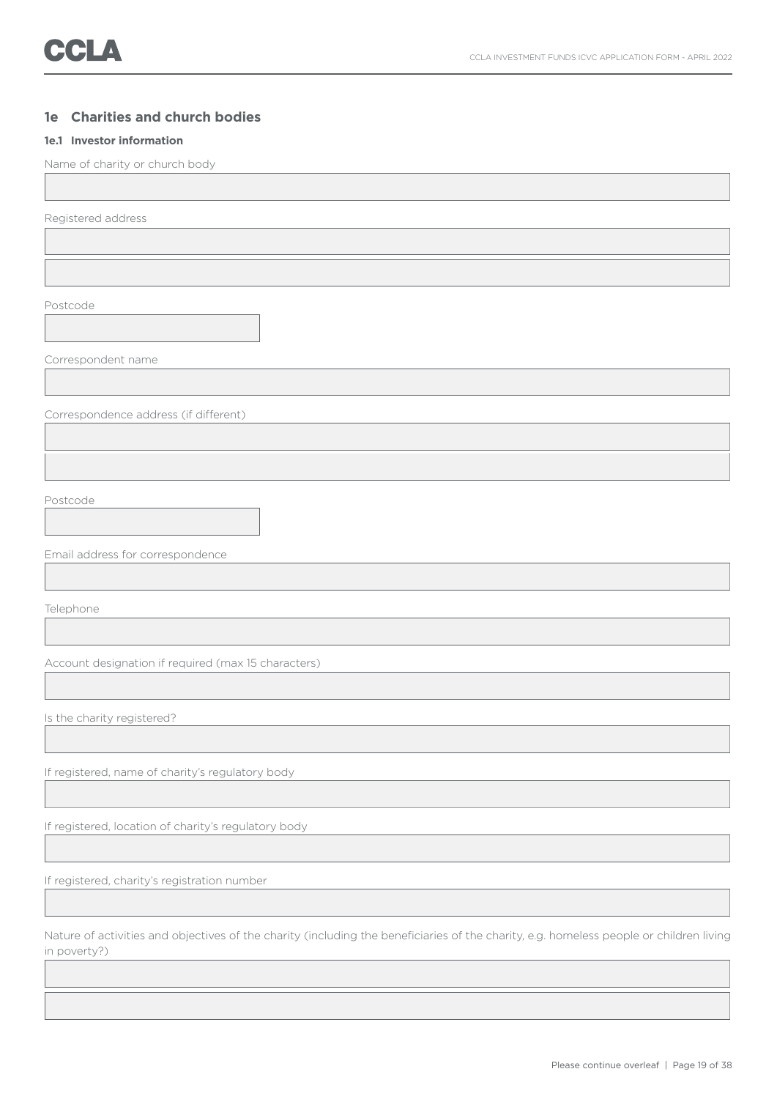### **1e Charities and church bodies**

### **1e.1 Investor information**

Name of charity or church body

Registered address

Postcode

Correspondent name

Correspondence address (if different)

Postcode

Email address for correspondence

Telephone

Account designation if required (max 15 characters)

Is the charity registered?

If registered, name of charity's regulatory body

If registered, location of charity's regulatory body

If registered, charity's registration number

Nature of activities and objectives of the charity (including the beneficiaries of the charity, e.g. homeless people or children living in poverty?)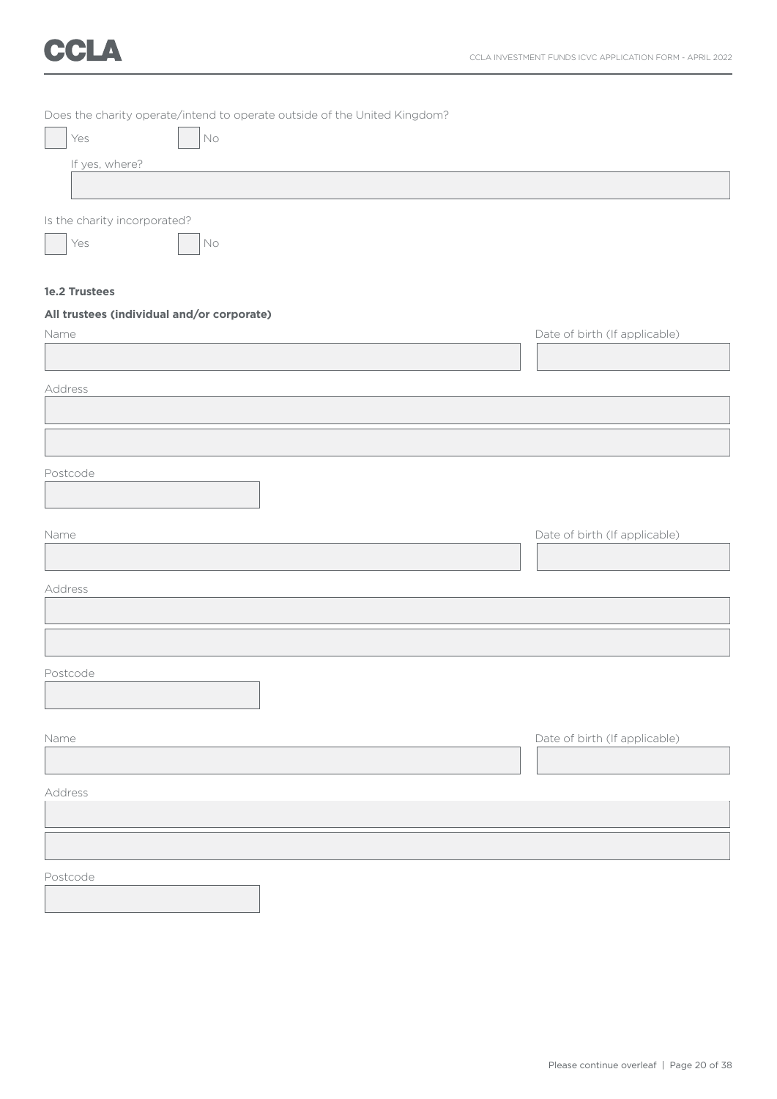# CCLA

| Does the charity operate/intend to operate outside of the United Kingdom? |                               |
|---------------------------------------------------------------------------|-------------------------------|
| Yes<br>$\mathsf{No}$                                                      |                               |
| If yes, where?                                                            |                               |
|                                                                           |                               |
| Is the charity incorporated?                                              |                               |
| Yes<br>$\rm No$                                                           |                               |
| 1e.2 Trustees                                                             |                               |
| All trustees (individual and/or corporate)                                |                               |
| Name                                                                      | Date of birth (If applicable) |
|                                                                           |                               |
| Address                                                                   |                               |
|                                                                           |                               |
|                                                                           |                               |
| Postcode                                                                  |                               |
|                                                                           |                               |
| Name                                                                      |                               |
|                                                                           | Date of birth (If applicable) |
|                                                                           |                               |
| Address                                                                   |                               |
|                                                                           |                               |
|                                                                           |                               |
| Postcode                                                                  |                               |
|                                                                           |                               |
| Name                                                                      | Date of birth (If applicable) |
|                                                                           |                               |
| Address                                                                   |                               |
|                                                                           |                               |
|                                                                           |                               |
|                                                                           |                               |
| Postcode                                                                  |                               |
|                                                                           |                               |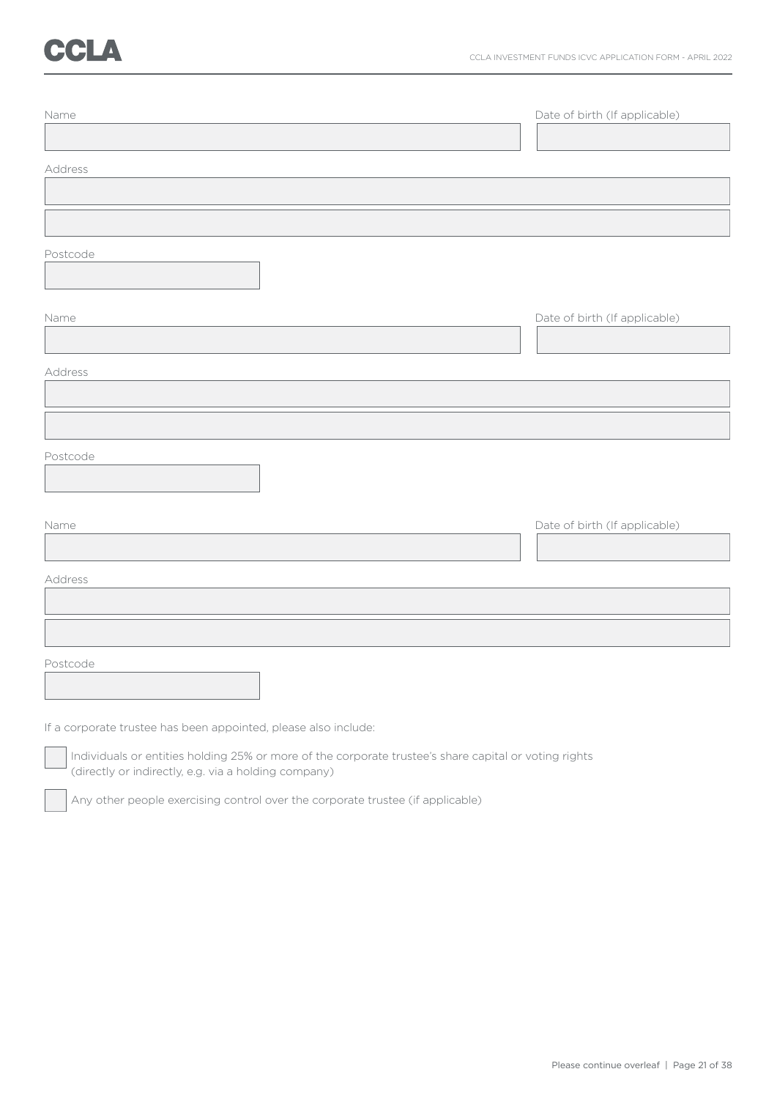# **CCLA**

| Name     | Date of birth (If applicable) |
|----------|-------------------------------|
| Address  |                               |
|          |                               |
| Postcode |                               |
| Name     | Date of birth (If applicable) |
| Address  |                               |
|          |                               |
| Postcode |                               |
| Name     | Date of birth (If applicable) |
| Address  |                               |
|          |                               |
| Postcode |                               |

If a corporate trustee has been appointed, please also include:

 Individuals or entities holding 25% or more of the corporate trustee's share capital or voting rights (directly or indirectly, e.g. via a holding company)

Any other people exercising control over the corporate trustee (if applicable)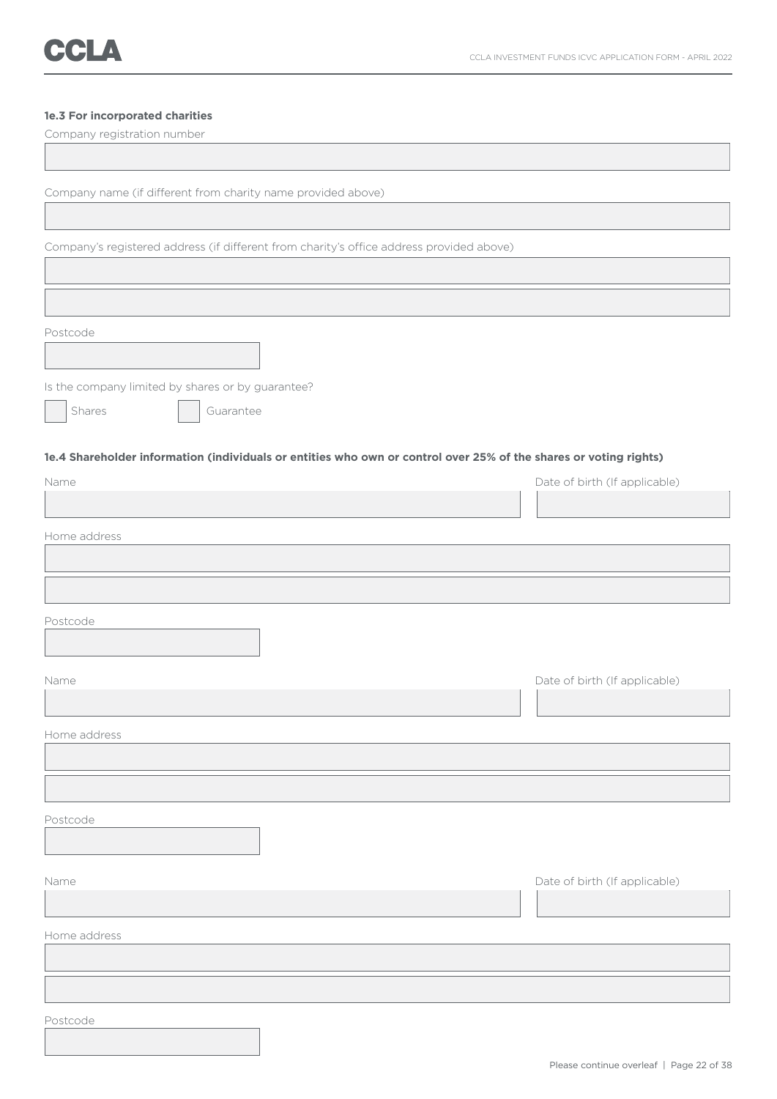### **1e.3 For incorporated charities**

| Company registration number                                                                                       |                               |
|-------------------------------------------------------------------------------------------------------------------|-------------------------------|
|                                                                                                                   |                               |
| Company name (if different from charity name provided above)                                                      |                               |
|                                                                                                                   |                               |
| Company's registered address (if different from charity's office address provided above)                          |                               |
|                                                                                                                   |                               |
|                                                                                                                   |                               |
| Postcode                                                                                                          |                               |
|                                                                                                                   |                               |
| Is the company limited by shares or by guarantee?                                                                 |                               |
| Shares<br>Guarantee                                                                                               |                               |
| 1e.4 Shareholder information (individuals or entities who own or control over 25% of the shares or voting rights) |                               |
| Name                                                                                                              | Date of birth (If applicable) |
|                                                                                                                   |                               |
| Home address                                                                                                      |                               |
|                                                                                                                   |                               |
|                                                                                                                   |                               |
| Postcode                                                                                                          |                               |
|                                                                                                                   |                               |
| Name                                                                                                              | Date of birth (If applicable) |
|                                                                                                                   |                               |
| Home address                                                                                                      |                               |
|                                                                                                                   |                               |
|                                                                                                                   |                               |
| Postcode                                                                                                          |                               |
|                                                                                                                   |                               |
| Name                                                                                                              | Date of birth (If applicable) |
|                                                                                                                   |                               |
| Home address                                                                                                      |                               |
|                                                                                                                   |                               |
|                                                                                                                   |                               |
| Postcode                                                                                                          |                               |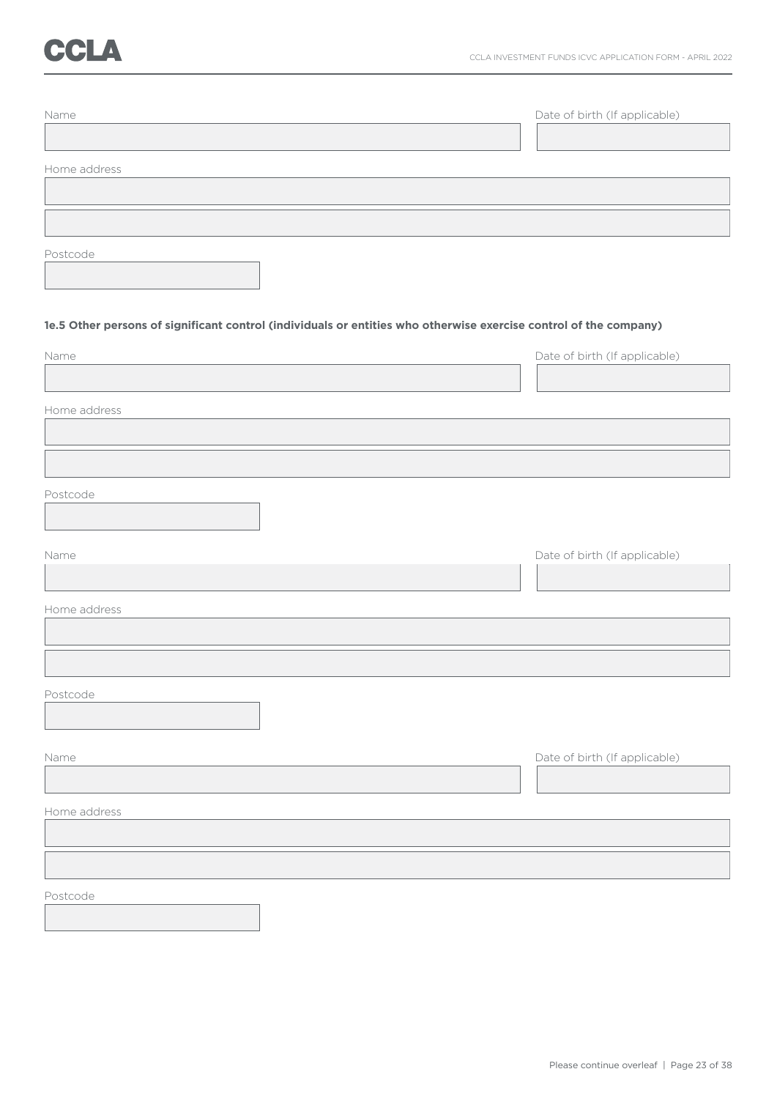## CCLA

| Name                                                                                                              |                               |
|-------------------------------------------------------------------------------------------------------------------|-------------------------------|
|                                                                                                                   | Date of birth (If applicable) |
|                                                                                                                   |                               |
| Home address                                                                                                      |                               |
|                                                                                                                   |                               |
|                                                                                                                   |                               |
|                                                                                                                   |                               |
| Postcode                                                                                                          |                               |
|                                                                                                                   |                               |
|                                                                                                                   |                               |
| 1e.5 Other persons of significant control (individuals or entities who otherwise exercise control of the company) |                               |
| Name                                                                                                              | Date of birth (If applicable) |
|                                                                                                                   |                               |
|                                                                                                                   |                               |
| Home address                                                                                                      |                               |
|                                                                                                                   |                               |
|                                                                                                                   |                               |
| Postcode                                                                                                          |                               |
|                                                                                                                   |                               |
|                                                                                                                   |                               |
| Name                                                                                                              | Date of birth (If applicable) |
|                                                                                                                   |                               |
|                                                                                                                   |                               |
| Home address                                                                                                      |                               |
|                                                                                                                   |                               |
|                                                                                                                   |                               |
| Postcode                                                                                                          |                               |
|                                                                                                                   |                               |
|                                                                                                                   |                               |
| Name                                                                                                              | Date of birth (If applicable) |
|                                                                                                                   |                               |
| Home address                                                                                                      |                               |
|                                                                                                                   |                               |
|                                                                                                                   |                               |
|                                                                                                                   |                               |
| Postcode                                                                                                          |                               |
|                                                                                                                   |                               |
|                                                                                                                   |                               |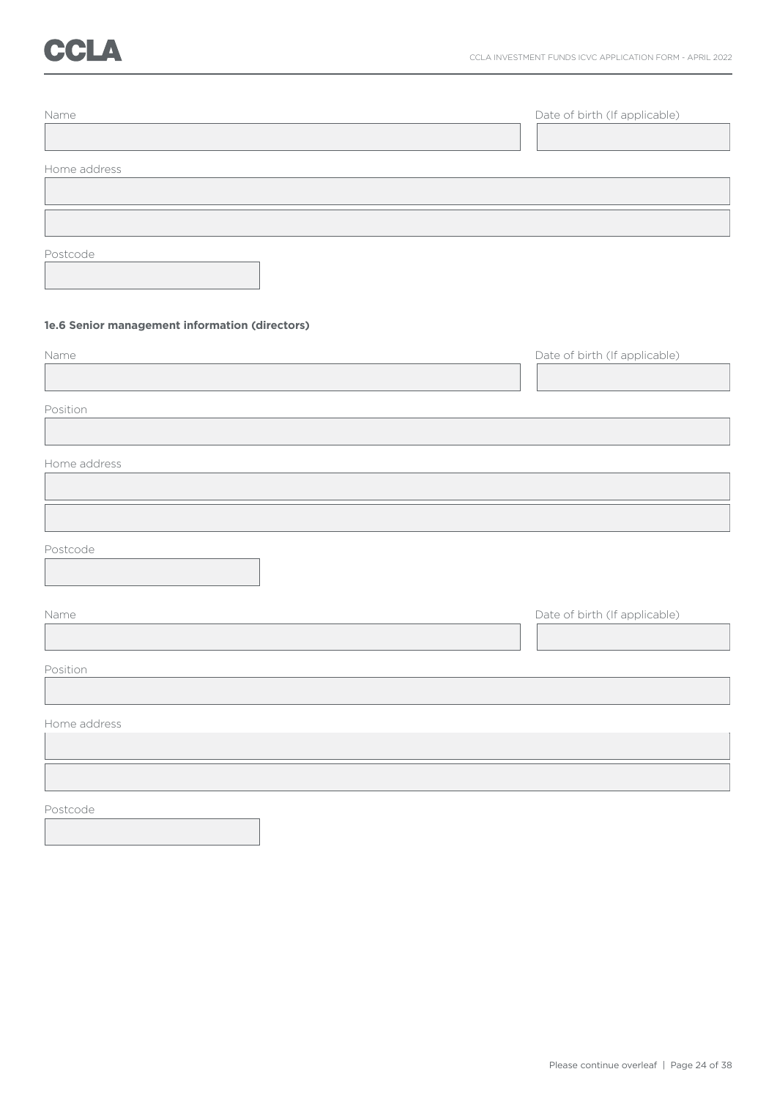# CCLA

| Name                                           | Date of birth (If applicable) |
|------------------------------------------------|-------------------------------|
|                                                |                               |
| Home address                                   |                               |
|                                                |                               |
|                                                |                               |
| Postcode                                       |                               |
| 1e.6 Senior management information (directors) |                               |
| Name                                           | Date of birth (If applicable) |
| Position                                       |                               |
|                                                |                               |
| Home address                                   |                               |
|                                                |                               |
| Postcode                                       |                               |
| Name                                           | Date of birth (If applicable) |
| Position                                       |                               |
|                                                |                               |
| Home address                                   |                               |
|                                                |                               |
|                                                |                               |
| Postcode                                       |                               |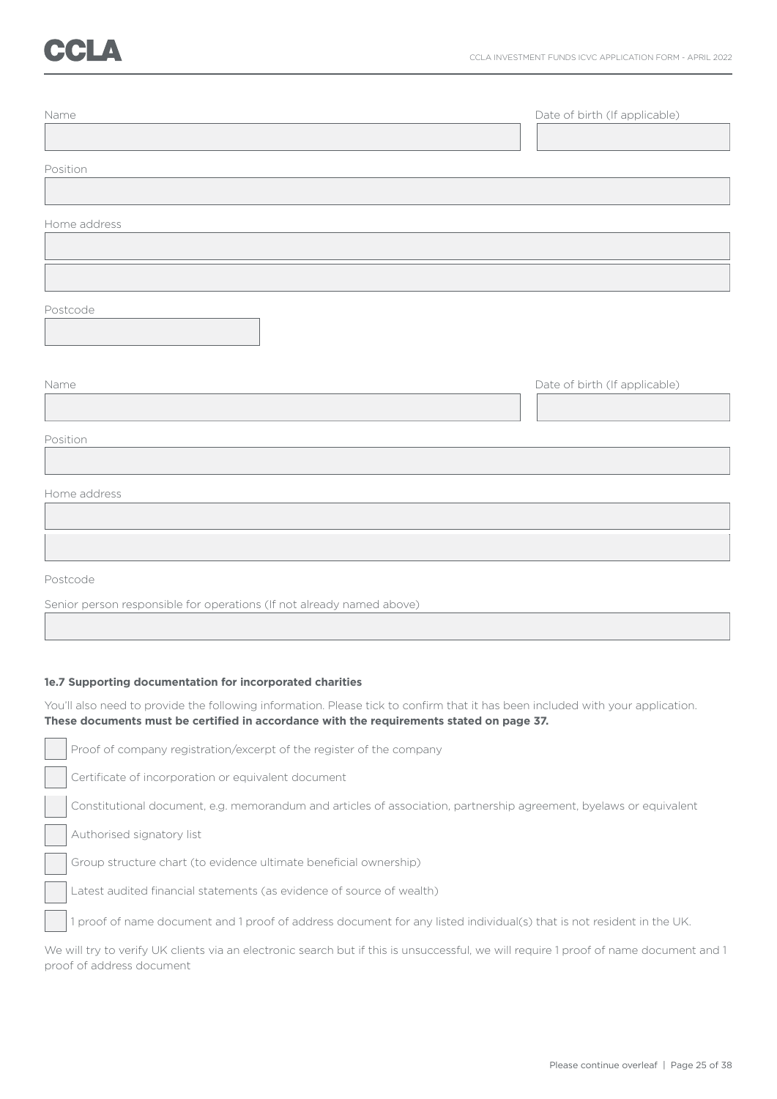| Name         | Date of birth (If applicable) |
|--------------|-------------------------------|
| Position     |                               |
| Home address |                               |
|              |                               |
| Postcode     |                               |
| Name         | Date of birth (If applicable) |
| Position     |                               |
| Home address |                               |
|              |                               |
| Postcode     |                               |

Senior person responsible for operations (If not already named above)

### **1e.7 Supporting documentation for incorporated charities**

You'll also need to provide the following information. Please tick to confirm that it has been included with your application. **These documents must be certified in accordance with the requirements stated on page 37.**

Proof of company registration/excerpt of the register of the company Certificate of incorporation or equivalent document Constitutional document, e.g. memorandum and articles of association, partnership agreement, byelaws or equivalent Authorised signatory list Group structure chart (to evidence ultimate beneficial ownership) Latest audited financial statements (as evidence of source of wealth) 1 proof of name document and 1 proof of address document for any listed individual(s) that is not resident in the UK.

We will try to verify UK clients via an electronic search but if this is unsuccessful, we will require 1 proof of name document and 1 proof of address document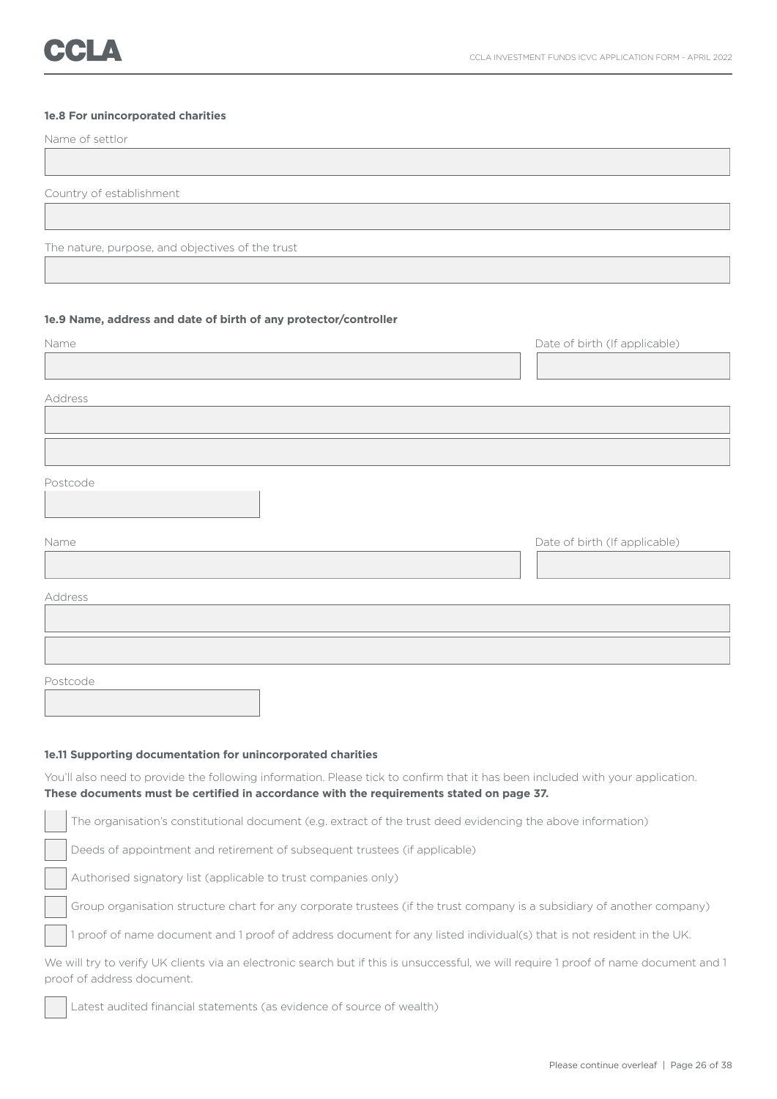### **1e.8 For unincorporated charities**

| Name of settlor                                                  |                               |
|------------------------------------------------------------------|-------------------------------|
|                                                                  |                               |
| Country of establishment                                         |                               |
|                                                                  |                               |
| The nature, purpose, and objectives of the trust                 |                               |
|                                                                  |                               |
|                                                                  |                               |
| 1e.9 Name, address and date of birth of any protector/controller |                               |
| Name                                                             | Date of birth (If applicable) |
|                                                                  |                               |
| Address                                                          |                               |
|                                                                  |                               |
|                                                                  |                               |
| Postcode                                                         |                               |
|                                                                  |                               |
|                                                                  |                               |
| Name                                                             | Date of birth (If applicable) |
|                                                                  |                               |
| Address                                                          |                               |
|                                                                  |                               |
|                                                                  |                               |
| Postcode                                                         |                               |

#### **1e.11 Supporting documentation for unincorporated charities**

You'll also need to provide the following information. Please tick to confirm that it has been included with your application. **These documents must be certified in accordance with the requirements stated on page 37.**

The organisation's constitutional document (e.g. extract of the trust deed evidencing the above information) Deeds of appointment and retirement of subsequent trustees (if applicable) Authorised signatory list (applicable to trust companies only) Group organisation structure chart for any corporate trustees (if the trust company is a subsidiary of another company) 1 proof of name document and 1 proof of address document for any listed individual(s) that is not resident in the UK. We will try to verify UK clients via an electronic search but if this is unsuccessful, we will require 1 proof of name document and 1 proof of address document. Latest audited financial statements (as evidence of source of wealth)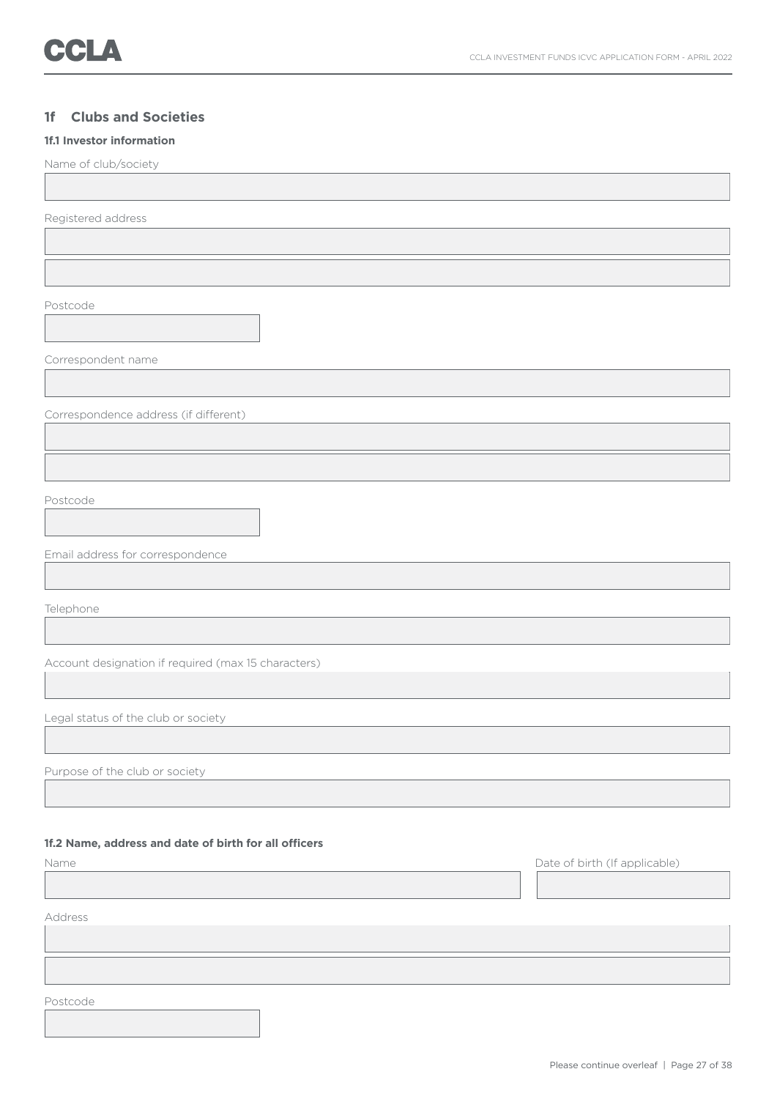### **1f Clubs and Societies**

### **1f.1 Investor information**

Name of club/society

Registered address

Postcode

Correspondent name

Correspondence address (if different)

Postcode

Email address for correspondence

Telephone

Account designation if required (max 15 characters)

Legal status of the club or society

Purpose of the club or society

### **1f.2 Name, address and date of birth for all officers**

Name Date of birth (If applicable) Address

Postcode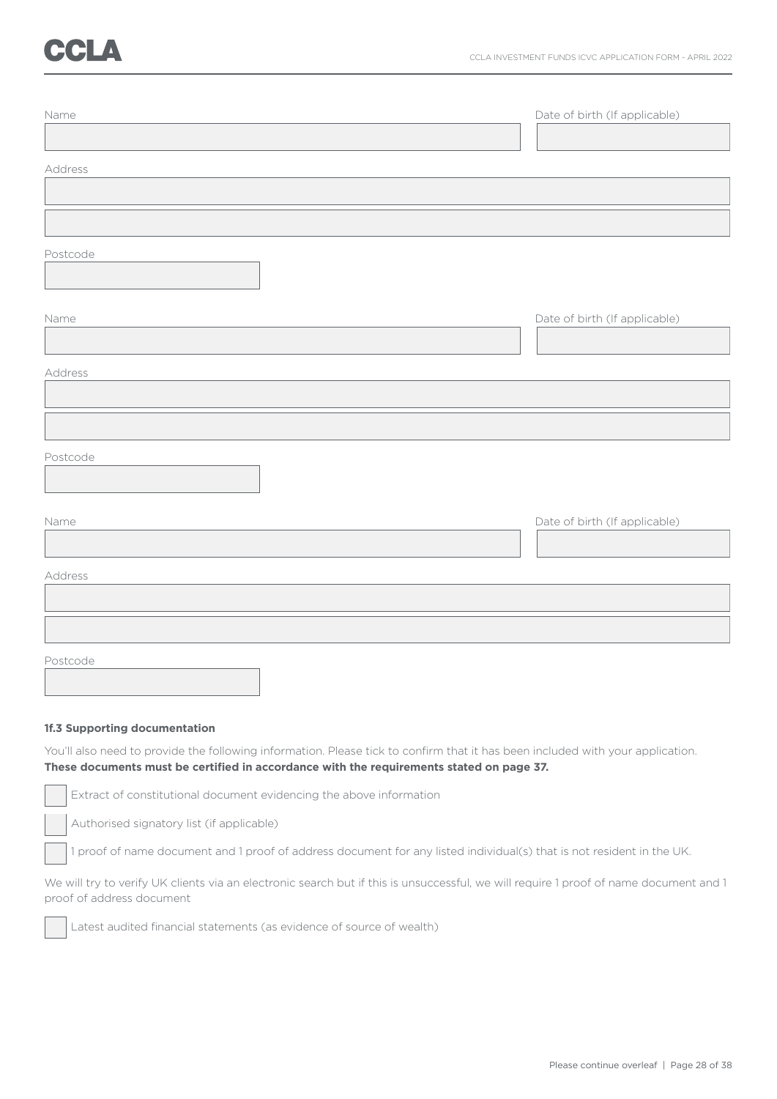| Name     | Date of birth (If applicable) |
|----------|-------------------------------|
|          |                               |
| Address  |                               |
|          |                               |
|          |                               |
| Postcode |                               |
|          |                               |
| Name     | Date of birth (If applicable) |
|          |                               |
| Address  |                               |
|          |                               |
|          |                               |
| Postcode |                               |
|          |                               |
| Name     | Date of birth (If applicable) |
|          |                               |
| Address  |                               |
|          |                               |
|          |                               |
| Postcode |                               |

### **1f.3 Supporting documentation**

You'll also need to provide the following information. Please tick to confirm that it has been included with your application. **These documents must be certified in accordance with the requirements stated on page 37.**

Extract of constitutional document evidencing the above information

Authorised signatory list (if applicable)

1 proof of name document and 1 proof of address document for any listed individual(s) that is not resident in the UK.

We will try to verify UK clients via an electronic search but if this is unsuccessful, we will require 1 proof of name document and 1 proof of address document

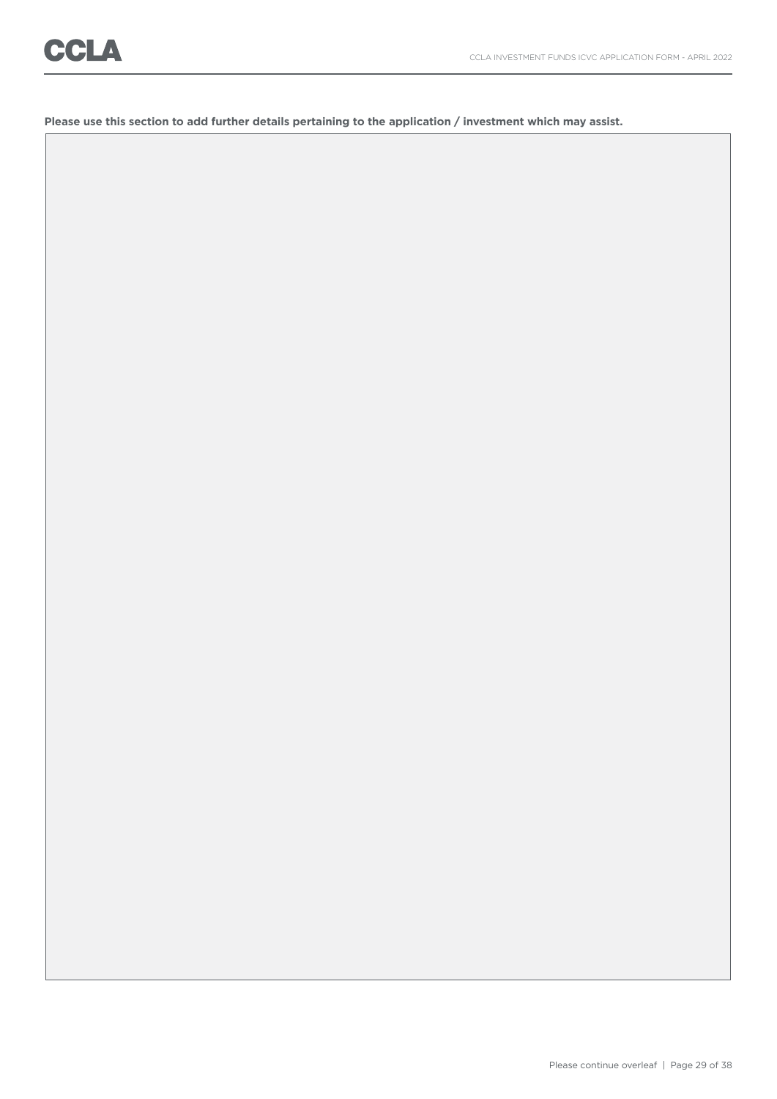**Please use this section to add further details pertaining to the application / investment which may assist.**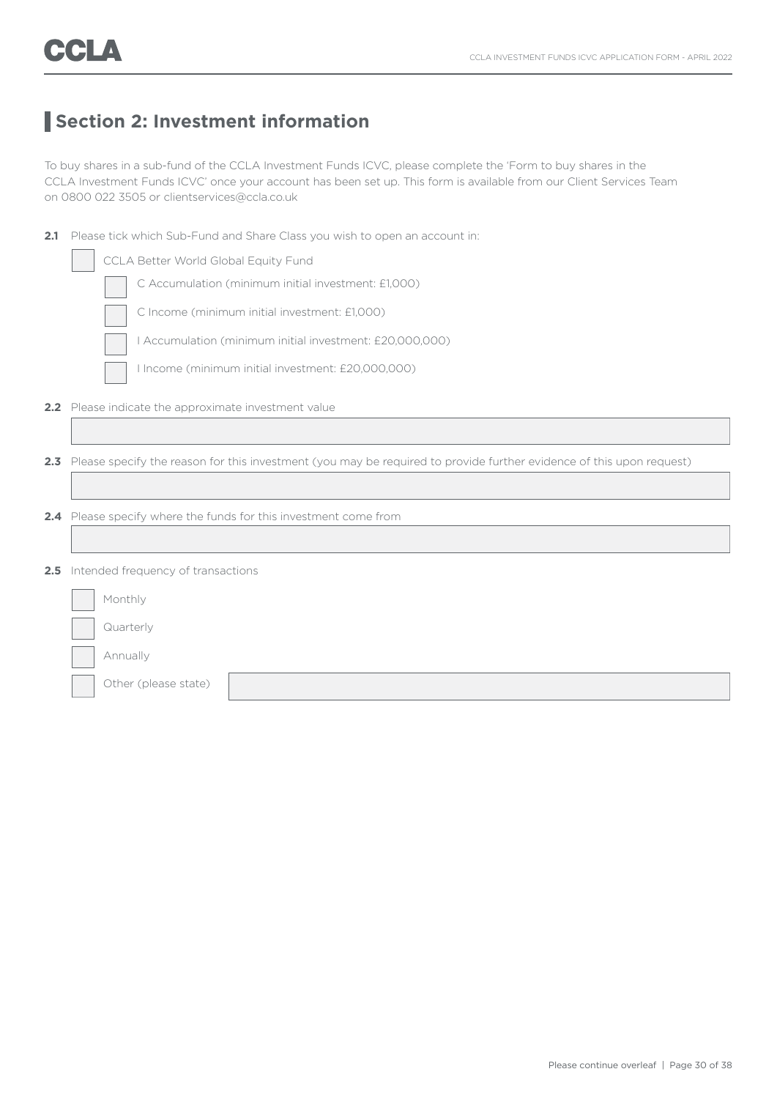## **Section 2: Investment information**

To buy shares in a sub-fund of the CCLA Investment Funds ICVC, please complete the 'Form to buy shares in the CCLA Investment Funds ICVC' once your account has been set up. This form is available from our Client Services Team on 0800 022 3505 or clientservices@ccla.co.uk

| 2.1           | Please tick which Sub-Fund and Share Class you wish to open an account in:                                           |  |  |  |  |
|---------------|----------------------------------------------------------------------------------------------------------------------|--|--|--|--|
|               | CCLA Better World Global Equity Fund                                                                                 |  |  |  |  |
|               | C Accumulation (minimum initial investment: £1,000)                                                                  |  |  |  |  |
|               | C Income (minimum initial investment: £1,000)                                                                        |  |  |  |  |
|               | I Accumulation (minimum initial investment: £20,000,000)                                                             |  |  |  |  |
|               | I Income (minimum initial investment: £20,000,000)                                                                   |  |  |  |  |
|               | 2.2 Please indicate the approximate investment value                                                                 |  |  |  |  |
|               |                                                                                                                      |  |  |  |  |
| 2.3           | Please specify the reason for this investment (you may be required to provide further evidence of this upon request) |  |  |  |  |
|               |                                                                                                                      |  |  |  |  |
| $2.4^{\circ}$ | Please specify where the funds for this investment come from                                                         |  |  |  |  |
|               |                                                                                                                      |  |  |  |  |
| 2.5           | Intended frequency of transactions                                                                                   |  |  |  |  |
|               | Monthly                                                                                                              |  |  |  |  |
|               | Quarterly                                                                                                            |  |  |  |  |
|               | Annually                                                                                                             |  |  |  |  |
|               | Other (please state)                                                                                                 |  |  |  |  |
|               |                                                                                                                      |  |  |  |  |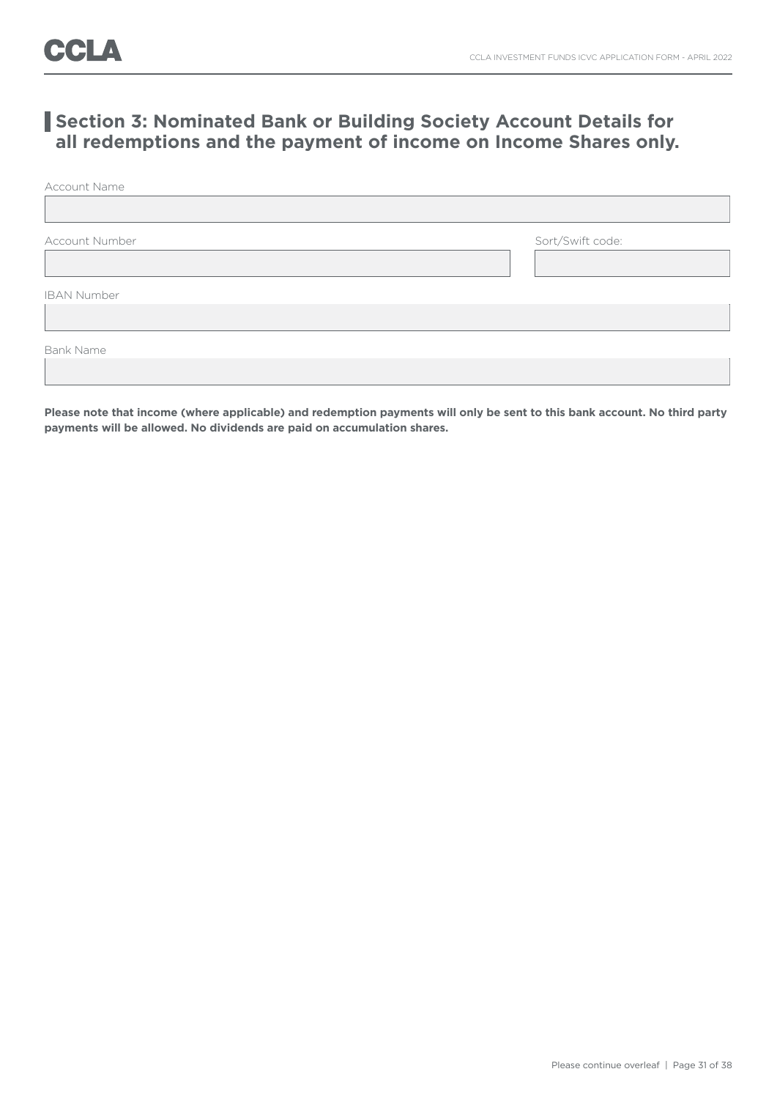### **Section 3: Nominated Bank or Building Society Account Details for all redemptions and the payment of income on Income Shares only.**

Account Name

Account Number Sort/Swift code:

IBAN Number

Bank Name

**Please note that income (where applicable) and redemption payments will only be sent to this bank account. No third party payments will be allowed. No dividends are paid on accumulation shares.**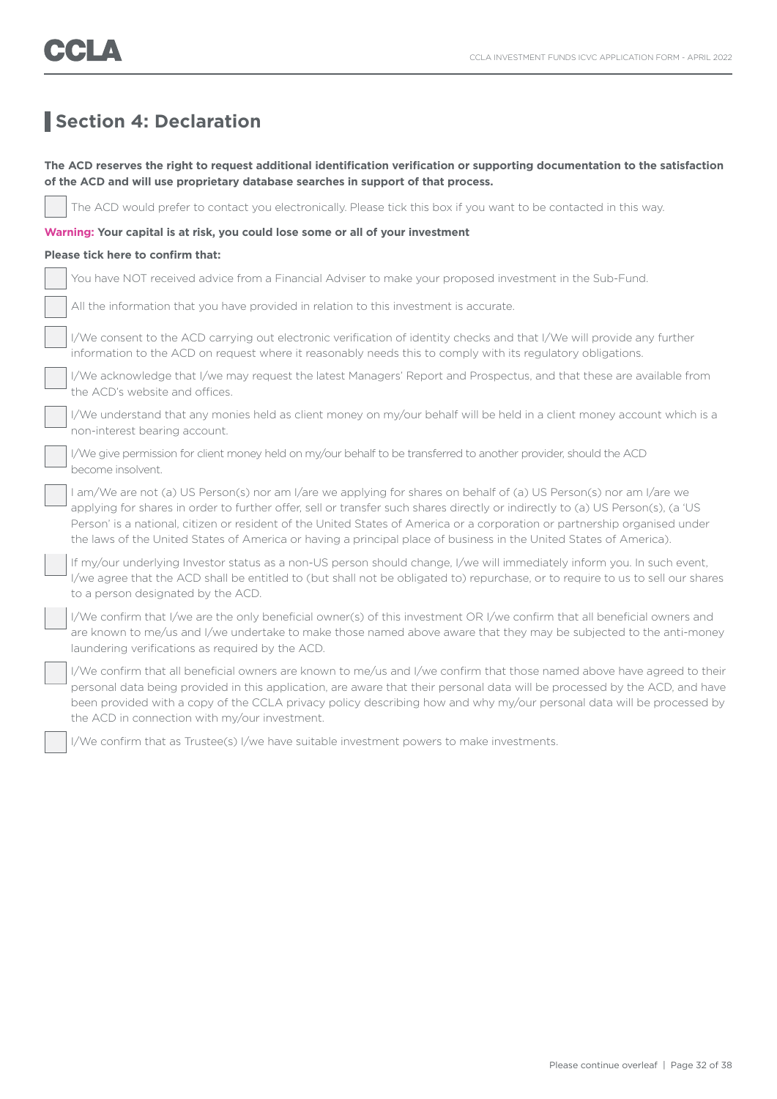### **Section 4: Declaration**

### **The ACD reserves the right to request additional identification verification or supporting documentation to the satisfaction of the ACD and will use proprietary database searches in support of that process.**

The ACD would prefer to contact you electronically. Please tick this box if you want to be contacted in this way.

### **Warning: Your capital is at risk, you could lose some or all of your investment**

### **Please tick here to confirm that:**

| Nou have NOT received advice from a Financial Adviser to make your proposed investment in the Sub-Fund. |
|---------------------------------------------------------------------------------------------------------|
|---------------------------------------------------------------------------------------------------------|

All the information that you have provided in relation to this investment is accurate.

 I/We consent to the ACD carrying out electronic verification of identity checks and that I/We will provide any further information to the ACD on request where it reasonably needs this to comply with its regulatory obligations.

 I/We acknowledge that I/we may request the latest Managers' Report and Prospectus, and that these are available from the ACD's website and offices.

 I/We understand that any monies held as client money on my/our behalf will be held in a client money account which is a non-interest bearing account.

 I/We give permission for client money held on my/our behalf to be transferred to another provider, should the ACD become insolvent.

 I am/We are not (a) US Person(s) nor am I/are we applying for shares on behalf of (a) US Person(s) nor am I/are we applying for shares in order to further offer, sell or transfer such shares directly or indirectly to (a) US Person(s), (a 'US Person' is a national, citizen or resident of the United States of America or a corporation or partnership organised under the laws of the United States of America or having a principal place of business in the United States of America).

 If my/our underlying Investor status as a non-US person should change, I/we will immediately inform you. In such event, I/we agree that the ACD shall be entitled to (but shall not be obligated to) repurchase, or to require to us to sell our shares to a person designated by the ACD.

 I/We confirm that I/we are the only beneficial owner(s) of this investment OR I/we confirm that all beneficial owners and are known to me/us and I/we undertake to make those named above aware that they may be subjected to the anti-money laundering verifications as required by the ACD.

 I/We confirm that all beneficial owners are known to me/us and I/we confirm that those named above have agreed to their personal data being provided in this application, are aware that their personal data will be processed by the ACD, and have been provided with a copy of the CCLA privacy policy describing how and why my/our personal data will be processed by the ACD in connection with my/our investment.

I/We confirm that as Trustee(s) I/we have suitable investment powers to make investments.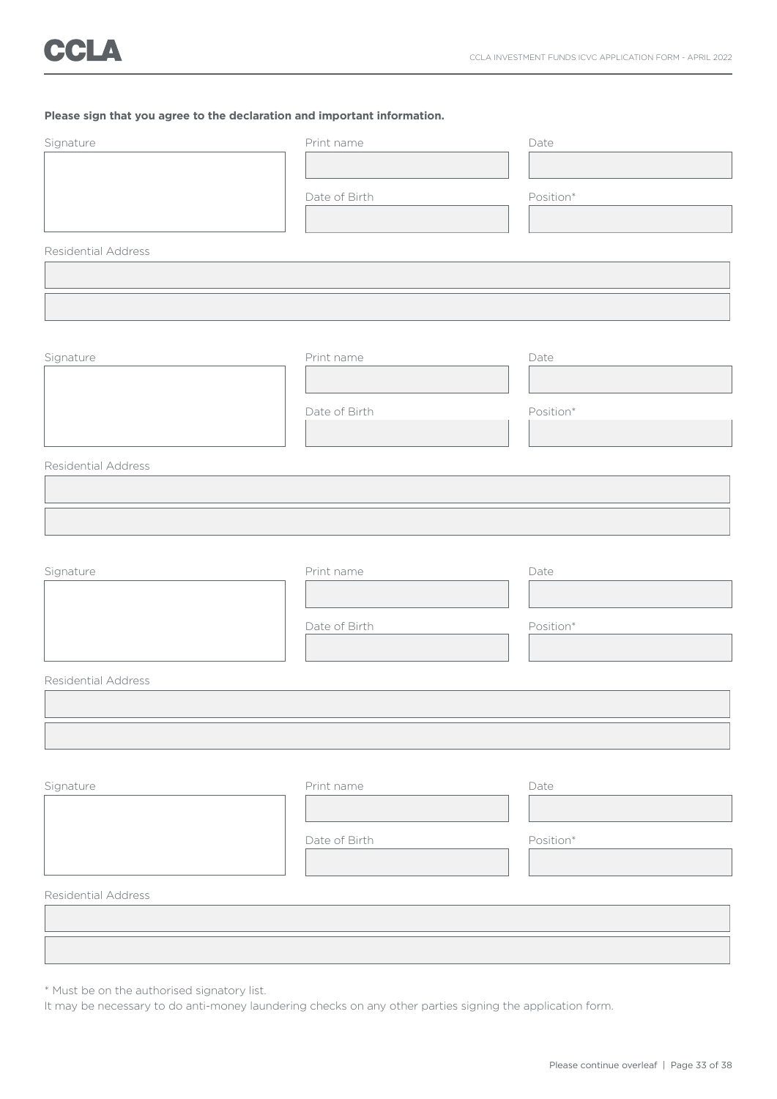### **Please sign that you agree to the declaration and important information.**

| Signature           | Print name    | Date      |
|---------------------|---------------|-----------|
|                     |               |           |
|                     | Date of Birth | Position* |
|                     |               |           |
| Residential Address |               |           |
|                     |               |           |
|                     |               |           |
|                     |               |           |
| Signature           | Print name    | Date      |
|                     |               |           |
|                     | Date of Birth | Position* |
|                     |               |           |
| Residential Address |               |           |
|                     |               |           |
|                     |               |           |
|                     |               |           |
| Signature           | Print name    | Date      |
|                     |               |           |
|                     | Date of Birth | Position* |
|                     |               |           |
| Residential Address |               |           |
|                     |               |           |
|                     |               |           |
|                     |               |           |
| Signature           | Print name    | Date      |
|                     |               |           |
|                     | Date of Birth | Position* |
|                     |               |           |
| Residential Address |               |           |
|                     |               |           |
|                     |               |           |

\* Must be on the authorised signatory list.

It may be necessary to do anti-money laundering checks on any other parties signing the application form.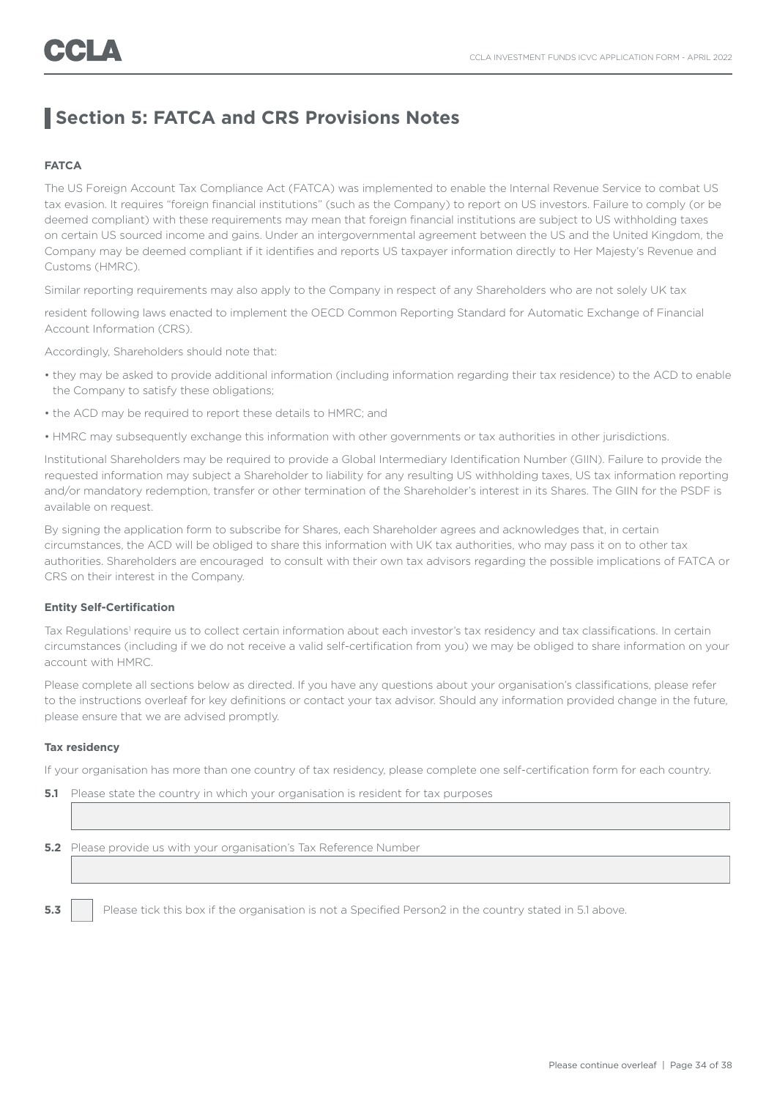### **Section 5: FATCA and CRS Provisions Notes**

### **FATCA**

The US Foreign Account Tax Compliance Act (FATCA) was implemented to enable the Internal Revenue Service to combat US tax evasion. It requires "foreign financial institutions" (such as the Company) to report on US investors. Failure to comply (or be deemed compliant) with these requirements may mean that foreign financial institutions are subject to US withholding taxes on certain US sourced income and gains. Under an intergovernmental agreement between the US and the United Kingdom, the Company may be deemed compliant if it identifies and reports US taxpayer information directly to Her Majesty's Revenue and Customs (HMRC).

Similar reporting requirements may also apply to the Company in respect of any Shareholders who are not solely UK tax

resident following laws enacted to implement the OECD Common Reporting Standard for Automatic Exchange of Financial Account Information (CRS).

Accordingly, Shareholders should note that:

- they may be asked to provide additional information (including information regarding their tax residence) to the ACD to enable the Company to satisfy these obligations;
- the ACD may be required to report these details to HMRC; and
- HMRC may subsequently exchange this information with other governments or tax authorities in other jurisdictions.

Institutional Shareholders may be required to provide a Global Intermediary Identification Number (GIIN). Failure to provide the requested information may subject a Shareholder to liability for any resulting US withholding taxes, US tax information reporting and/or mandatory redemption, transfer or other termination of the Shareholder's interest in its Shares. The GIIN for the PSDF is available on request.

By signing the application form to subscribe for Shares, each Shareholder agrees and acknowledges that, in certain circumstances, the ACD will be obliged to share this information with UK tax authorities, who may pass it on to other tax authorities. Shareholders are encouraged to consult with their own tax advisors regarding the possible implications of FATCA or CRS on their interest in the Company.

### **Entity Self-Certification**

Tax Regulations<sup>1</sup> require us to collect certain information about each investor's tax residency and tax classifications. In certain circumstances (including if we do not receive a valid self-certification from you) we may be obliged to share information on your account with HMRC.

Please complete all sections below as directed. If you have any questions about your organisation's classifications, please refer to the instructions overleaf for key definitions or contact your tax advisor. Should any information provided change in the future, please ensure that we are advised promptly.

### **Tax residency**

If your organisation has more than one country of tax residency, please complete one self-certification form for each country.

| 5.1 | Please state the country in which your organisation is resident for tax purposes                        |  |  |
|-----|---------------------------------------------------------------------------------------------------------|--|--|
|     |                                                                                                         |  |  |
|     |                                                                                                         |  |  |
|     | <b>5.2</b> Please provide us with your organisation's Tax Reference Number                              |  |  |
|     |                                                                                                         |  |  |
|     |                                                                                                         |  |  |
| 5.3 | Please tick this box if the organisation is not a Specified Person2 in the country stated in 5.1 above. |  |  |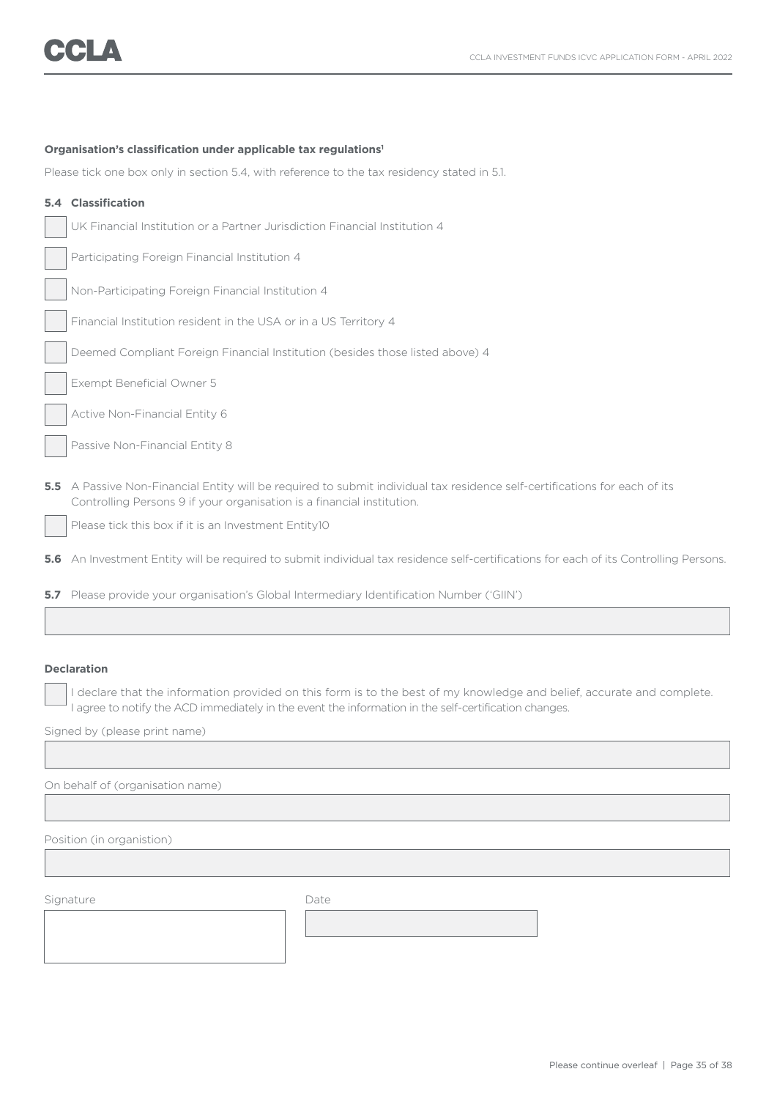### **Organisation's classification under applicable tax regulations1**

Please tick one box only in section 5.4, with reference to the tax residency stated in 5.1.

| 5.4           | Classification                                                                                                                                                                                   |
|---------------|--------------------------------------------------------------------------------------------------------------------------------------------------------------------------------------------------|
|               | UK Financial Institution or a Partner Jurisdiction Financial Institution 4                                                                                                                       |
|               | Participating Foreign Financial Institution 4                                                                                                                                                    |
|               | Non-Participating Foreign Financial Institution 4                                                                                                                                                |
|               | Financial Institution resident in the USA or in a US Territory 4                                                                                                                                 |
|               | Deemed Compliant Foreign Financial Institution (besides those listed above) 4                                                                                                                    |
|               | Exempt Beneficial Owner 5                                                                                                                                                                        |
|               | Active Non-Financial Entity 6                                                                                                                                                                    |
|               | Passive Non-Financial Entity 8                                                                                                                                                                   |
| $5.5^{\circ}$ | A Passive Non-Financial Entity will be required to submit individual tax residence self-certifications for each of its<br>Controlling Persons 9 if your organisation is a financial institution. |
|               | Please tick this box if it is an Investment Entity10                                                                                                                                             |
| 5.6           | An Investment Entity will be required to submit individual tax residence self-certifications for each of its Controlling Persons.                                                                |

**5.7** Please provide your organisation's Global Intermediary Identification Number ('GIIN')

### **Declaration**

I declare that the information provided on this form is to the best of my knowledge and belief, accurate and complete. I agree to notify the ACD immediately in the event the information in the self-certification changes.

Signed by (please print name)

On behalf of (organisation name)

Position (in organistion)

Signature Date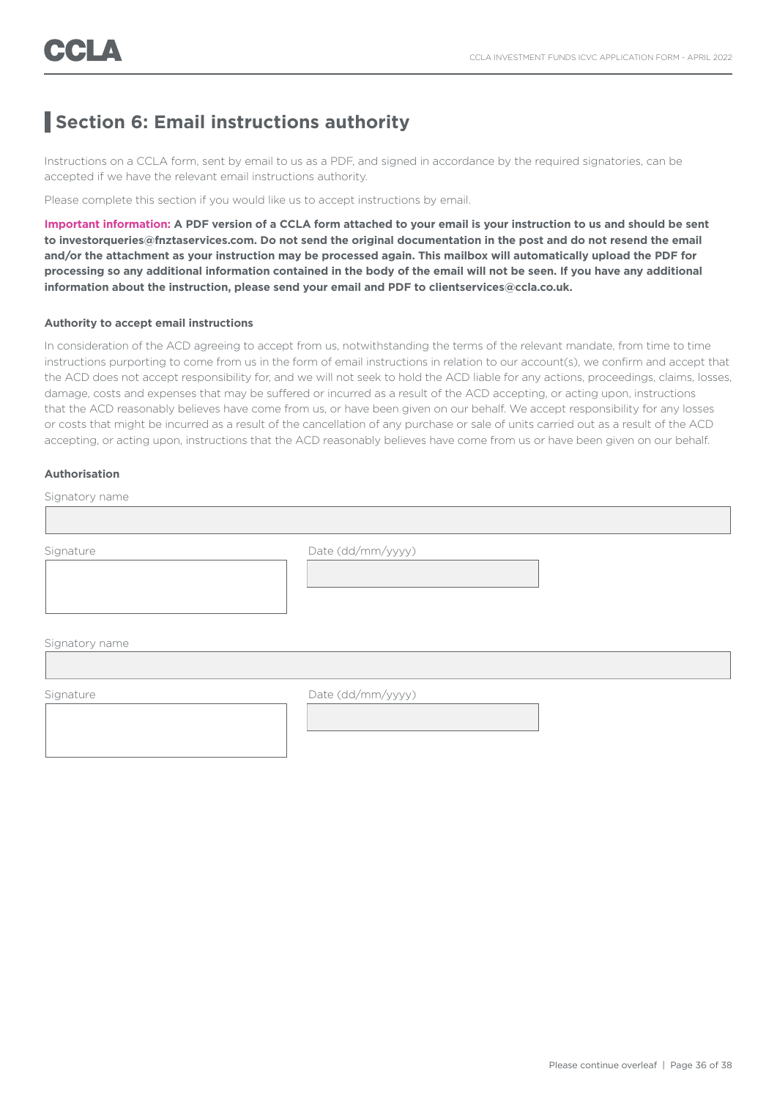### **Section 6: Email instructions authority**

Instructions on a CCLA form, sent by email to us as a PDF, and signed in accordance by the required signatories, can be accepted if we have the relevant email instructions authority.

Please complete this section if you would like us to accept instructions by email.

**Important information: A PDF version of a CCLA form attached to your email is your instruction to us and should be sent to investorqueries@fnztaservices.com. Do not send the original documentation in the post and do not resend the email and/or the attachment as your instruction may be processed again. This mailbox will automatically upload the PDF for processing so any additional information contained in the body of the email will not be seen. If you have any additional information about the instruction, please send your email and PDF to clientservices@ccla.co.uk.**

### **Authority to accept email instructions**

In consideration of the ACD agreeing to accept from us, notwithstanding the terms of the relevant mandate, from time to time instructions purporting to come from us in the form of email instructions in relation to our account(s), we confirm and accept that the ACD does not accept responsibility for, and we will not seek to hold the ACD liable for any actions, proceedings, claims, losses, damage, costs and expenses that may be suffered or incurred as a result of the ACD accepting, or acting upon, instructions that the ACD reasonably believes have come from us, or have been given on our behalf. We accept responsibility for any losses or costs that might be incurred as a result of the cancellation of any purchase or sale of units carried out as a result of the ACD accepting, or acting upon, instructions that the ACD reasonably believes have come from us or have been given on our behalf.

### **Authorisation**

| Signatory name |                   |  |  |  |  |
|----------------|-------------------|--|--|--|--|
|                |                   |  |  |  |  |
| Signature      | Date (dd/mm/yyyy) |  |  |  |  |
| Signatory name |                   |  |  |  |  |
| Signature      | Date (dd/mm/yyyy) |  |  |  |  |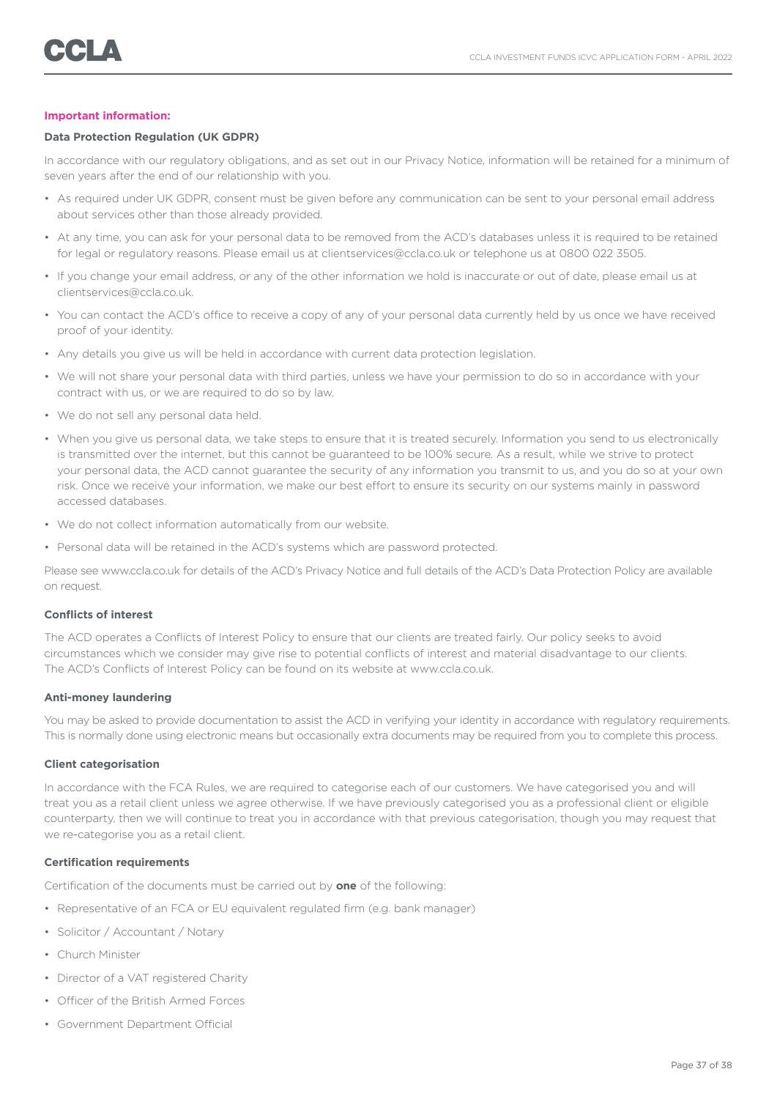### **Important information:**

### **Data Protection Regulation (UK GDPR)**

In accordance with our regulatory obligations, and as set out in our Privacy Notice, information will be retained for a minimum of seven years after the end of our relationship with you.

- As required under UK GDPR, consent must be given before any communication can be sent to your personal email address about services other than those already provided.
- At any time, you can ask for your personal data to be removed from the ACD's databases unless it is required to be retained for legal or regulatory reasons. Please email us at clientservices@ccla.co.uk or telephone us at 0800 022 3505.
- If you change your email address, or any of the other information we hold is inaccurate or out of date, please email us at clientservices@ccla.co.uk.
- You can contact the ACD's office to receive a copy of any of your personal data currently held by us once we have received proof of your identity.
- Any details you give us will be held in accordance with current data protection legislation.
- We will not share your personal data with third parties, unless we have your permission to do so in accordance with your contract with us, or we are required to do so by law.
- We do not sell any personal data held.
- When you give us personal data, we take steps to ensure that it is treated securely. Information you send to us electronically is transmitted over the internet, but this cannot be guaranteed to be 100% secure. As a result, while we strive to protect your personal data, the ACD cannot guarantee the security of any information you transmit to us, and you do so at your own risk. Once we receive your information, we make our best effort to ensure its security on our systems mainly in password accessed databases.
- We do not collect information automatically from our website.
- Personal data will be retained in the ACD's systems which are password protected.

Please see www.ccla.co.uk for details of the ACD's Privacy Notice and full details of the ACD's Data Protection Policy are available on request.

#### **Conflicts of interest**

The ACD operates a Conflicts of Interest Policy to ensure that our clients are treated fairly. Our policy seeks to avoid circumstances which we consider may give rise to potential conflicts of interest and material disadvantage to our clients. The ACD's Conflicts of Interest Policy can be found on its website at www.ccla.co.uk.

#### **Anti-money laundering**

You may be asked to provide documentation to assist the ACD in verifying your identity in accordance with regulatory requirements. This is normally done using electronic means but occasionally extra documents may be required from you to complete this process.

#### **Client categorisation**

In accordance with the FCA Rules, we are required to categorise each of our customers. We have categorised you and will treat you as a retail client unless we agree otherwise. If we have previously categorised you as a professional client or eligible counterparty, then we will continue to treat you in accordance with that previous categorisation, though you may request that we re-categorise you as a retail client.

### **Certification requirements**

Certification of the documents must be carried out by **one** of the following:

- Representative of an FCA or EU equivalent regulated firm (e.g. bank manager)
- Solicitor / Accountant / Notary
- Church Minister
- Director of a VAT registered Charity
- Officer of the British Armed Forces
- Government Department Official